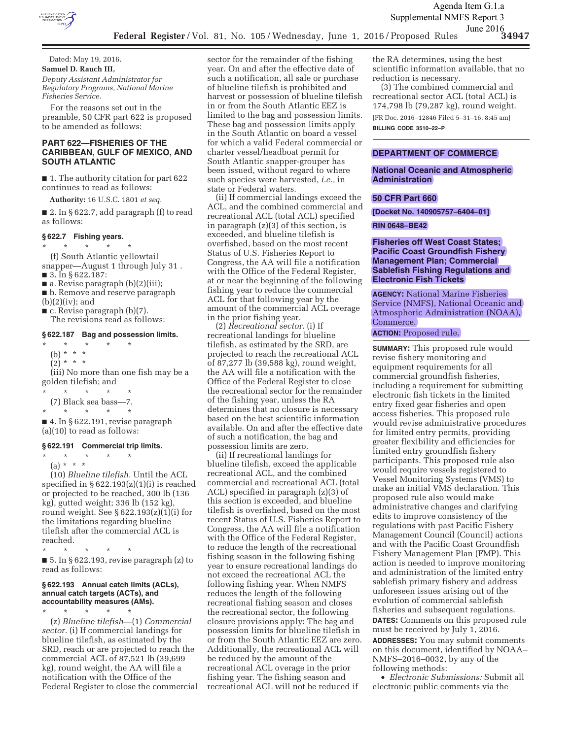

**Federal Register** / Vol. 81, No. 105 / Wednesday, June 1, 2016 / Proposed Rules **34947**  Agenda Item G.1.a Supplemental NMFS Report 3 June 2016

Dated: May 19, 2016. **Samuel D. Rauch III,**  *Deputy Assistant Administrator for Regulatory Programs, National Marine Fisheries Service.* 

For the reasons set out in the preamble, 50 CFR part 622 is proposed to be amended as follows:

## **PART 622—FISHERIES OF THE CARIBBEAN, GULF OF MEXICO, AND SOUTH ATLANTIC**

■ 1. The authority citation for part 622 continues to read as follows:

**Authority:** 16 U.S.C. 1801 *et seq.* 

 $\blacksquare$  2. In § 622.7, add paragraph (f) to read as follows:

## **§ 622.7 Fishing years.**

\* \* \* \* \*

(f) South Atlantic yellowtail snapper—August 1 through July 31 . ■ 3. In § 622.187:

■ a. Revise paragraph (b)(2)(iii);

■ b. Remove and reserve paragraph

 $(b)(2)(iv)$ ; and

 $\blacksquare$  c. Revise paragraph (b)(7).

The revisions read as follows:

## **§ 622.187 Bag and possession limits.**

\* \* \* \* \*

(b) \* \* \*

 $(2)^{\ast}$  \* \*

(iii) No more than one fish may be a golden tilefish; and

\* \* \* \* \* (7) Black sea bass—7.  $\star$   $\qquad$   $\star$   $\qquad$   $\star$ 

■ 4. In § 622.191, revise paragraph (a)(10) to read as follows:

#### **§ 622.191 Commercial trip limits.**

\* \* \* \* \*  $(a) * * * *$ 

(10) *Blueline tilefish.* Until the ACL specified in  $\S 622.193(z)(1)(i)$  is reached or projected to be reached, 300 lb (136 kg), gutted weight; 336 lb (152 kg), round weight. See § 622.193(z)(1)(i) for the limitations regarding blueline tilefish after the commercial ACL is reached.

\* \* \* \* \* ■ 5. In § 622.193, revise paragraph (z) to read as follows:

#### **§ 622.193 Annual catch limits (ACLs), annual catch targets (ACTs), and accountability measures (AMs).**

\* \* \* \* \* (z) *Blueline tilefish*—(1) *Commercial sector.* (i) If commercial landings for blueline tilefish, as estimated by the SRD, reach or are projected to reach the commercial ACL of 87,521 lb (39,699 kg), round weight, the AA will file a notification with the Office of the Federal Register to close the commercial sector for the remainder of the fishing year. On and after the effective date of such a notification, all sale or purchase of blueline tilefish is prohibited and harvest or possession of blueline tilefish in or from the South Atlantic EEZ is limited to the bag and possession limits. These bag and possession limits apply in the South Atlantic on board a vessel for which a valid Federal commercial or charter vessel/headboat permit for South Atlantic snapper-grouper has been issued, without regard to where such species were harvested, *i.e.,* in state or Federal waters.

(ii) If commercial landings exceed the ACL, and the combined commercial and recreational ACL (total ACL) specified in paragraph (z)(3) of this section, is exceeded, and blueline tilefish is overfished, based on the most recent Status of U.S. Fisheries Report to Congress, the AA will file a notification with the Office of the Federal Register, at or near the beginning of the following fishing year to reduce the commercial ACL for that following year by the amount of the commercial ACL overage in the prior fishing year.

(2) *Recreational sector.* (i) If recreational landings for blueline tilefish, as estimated by the SRD, are projected to reach the recreational ACL of 87,277 lb (39,588 kg), round weight, the AA will file a notification with the Office of the Federal Register to close the recreational sector for the remainder of the fishing year, unless the RA determines that no closure is necessary based on the best scientific information available. On and after the effective date of such a notification, the bag and possession limits are zero.

(ii) If recreational landings for blueline tilefish, exceed the applicable recreational ACL, and the combined commercial and recreational ACL (total ACL) specified in paragraph (z)(3) of this section is exceeded, and blueline tilefish is overfished, based on the most recent Status of U.S. Fisheries Report to Congress, the AA will file a notification with the Office of the Federal Register, to reduce the length of the recreational fishing season in the following fishing year to ensure recreational landings do not exceed the recreational ACL the following fishing year. When NMFS reduces the length of the following recreational fishing season and closes the recreational sector, the following closure provisions apply: The bag and possession limits for blueline tilefish in or from the South Atlantic EEZ are zero. Additionally, the recreational ACL will be reduced by the amount of the recreational ACL overage in the prior fishing year. The fishing season and recreational ACL will not be reduced if

the RA determines, using the best scientific information available, that no reduction is necessary.

(3) The combined commercial and recreational sector ACL (total ACL) is 174,798 lb (79,287 kg), round weight. [FR Doc. 2016–12846 Filed 5–31–16; 8:45 am] **BILLING CODE 3510–22–P** 

## **DEPARTMENT OF COMMERCE**

#### **National Oceanic and Atmospheric Administration**

#### **50 CFR Part 660**

**[Docket No. 140905757–6404–01]** 

#### **RIN 0648–BE42**

**Fisheries off West Coast States; Pacific Coast Groundfish Fishery Management Plan; Commercial Sablefish Fishing Regulations and Electronic Fish Tickets** 

**AGENCY:** National Marine Fisheries Service (NMFS), National Oceanic and Atmospheric Administration (NOAA), Commerce.

**ACTION: Proposed rule.** 

**SUMMARY:** This proposed rule would revise fishery monitoring and equipment requirements for all commercial groundfish fisheries, including a requirement for submitting electronic fish tickets in the limited entry fixed gear fisheries and open access fisheries. This proposed rule would revise administrative procedures for limited entry permits, providing greater flexibility and efficiencies for limited entry groundfish fishery participants. This proposed rule also would require vessels registered to Vessel Monitoring Systems (VMS) to make an initial VMS declaration. This proposed rule also would make administrative changes and clarifying edits to improve consistency of the regulations with past Pacific Fishery Management Council (Council) actions and with the Pacific Coast Groundfish Fishery Management Plan (FMP). This action is needed to improve monitoring and administration of the limited entry sablefish primary fishery and address unforeseen issues arising out of the evolution of commercial sablefish fisheries and subsequent regulations.

**DATES:** Comments on this proposed rule must be received by July 1, 2016.

**ADDRESSES:** You may submit comments on this document, identified by NOAA– NMFS–2016–0032, by any of the following methods:

• *Electronic Submissions:* Submit all electronic public comments via the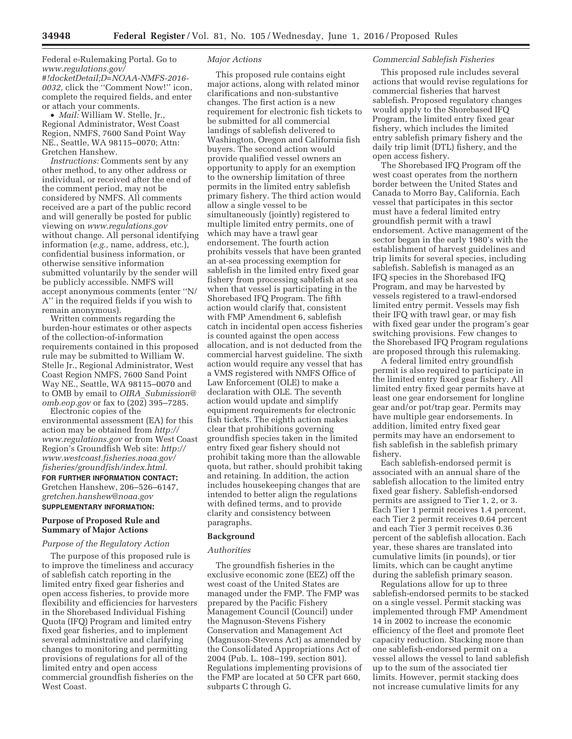Federal e-Rulemaking Portal. Go to *www.regulations.gov/ #!docketDetail;D=NOAA-NMFS-2016- 0032,* click the ''Comment Now!'' icon, complete the required fields, and enter or attach your comments.

• *Mail:* William W. Stelle, Jr., Regional Administrator, West Coast Region, NMFS, 7600 Sand Point Way NE., Seattle, WA 98115–0070; Attn: Gretchen Hanshew.

*Instructions:* Comments sent by any other method, to any other address or individual, or received after the end of the comment period, may not be considered by NMFS. All comments received are a part of the public record and will generally be posted for public viewing on *www.regulations.gov*  without change. All personal identifying information (*e.g.,* name, address, etc.), confidential business information, or otherwise sensitive information submitted voluntarily by the sender will be publicly accessible. NMFS will accept anonymous comments (enter ''N/ A'' in the required fields if you wish to remain anonymous).

Written comments regarding the burden-hour estimates or other aspects of the collection-of-information requirements contained in this proposed rule may be submitted to William W. Stelle Jr., Regional Administrator, West Coast Region NMFS, 7600 Sand Point Way NE., Seattle, WA 98115–0070 and to OMB by email to *OIRA*\_*Submission@ omb.eop.gov* or fax to (202) 395–7285.

Electronic copies of the environmental assessment (EA) for this action may be obtained from *http:// www.regulations.gov* or from West Coast Region's Groundfish Web site: *http:// www.westcoast.fisheries.noaa.gov/ fisheries/groundfish/index.html.*  **FOR FURTHER INFORMATION CONTACT:**  Gretchen Hanshew, 206–526–6147, *gretchen.hanshew@noaa.gov*  **SUPPLEMENTARY INFORMATION:** 

### **Purpose of Proposed Rule and Summary of Major Actions**

# *Purpose of the Regulatory Action*

The purpose of this proposed rule is to improve the timeliness and accuracy of sablefish catch reporting in the limited entry fixed gear fisheries and open access fisheries, to provide more flexibility and efficiencies for harvesters in the Shorebased Individual Fishing Quota (IFQ) Program and limited entry fixed gear fisheries, and to implement several administrative and clarifying changes to monitoring and permitting provisions of regulations for all of the limited entry and open access commercial groundfish fisheries on the West Coast.

#### *Major Actions*

This proposed rule contains eight major actions, along with related minor clarifications and non-substantive changes. The first action is a new requirement for electronic fish tickets to be submitted for all commercial landings of sablefish delivered to Washington, Oregon and California fish buyers. The second action would provide qualified vessel owners an opportunity to apply for an exemption to the ownership limitation of three permits in the limited entry sablefish primary fishery. The third action would allow a single vessel to be simultaneously (jointly) registered to multiple limited entry permits, one of which may have a trawl gear endorsement. The fourth action prohibits vessels that have been granted an at-sea processing exemption for sablefish in the limited entry fixed gear fishery from processing sablefish at sea when that vessel is participating in the Shorebased IFQ Program. The fifth action would clarify that, consistent with FMP Amendment 6, sablefish catch in incidental open access fisheries is counted against the open access allocation, and is not deducted from the commercial harvest guideline. The sixth action would require any vessel that has a VMS registered with NMFS Office of Law Enforcement (OLE) to make a declaration with OLE. The seventh action would update and simplify equipment requirements for electronic fish tickets. The eighth action makes clear that prohibitions governing groundfish species taken in the limited entry fixed gear fishery should not prohibit taking more than the allowable quota, but rather, should prohibit taking and retaining. In addition, the action includes housekeeping changes that are intended to better align the regulations with defined terms, and to provide clarity and consistency between paragraphs.

#### **Background**

#### *Authorities*

The groundfish fisheries in the exclusive economic zone (EEZ) off the west coast of the United States are managed under the FMP. The FMP was prepared by the Pacific Fishery Management Council (Council) under the Magnuson-Stevens Fishery Conservation and Management Act (Magnuson-Stevens Act) as amended by the Consolidated Appropriations Act of 2004 (Pub. L. 108–199, section 801). Regulations implementing provisions of the FMP are located at 50 CFR part 660, subparts C through G.

## *Commercial Sablefish Fisheries*

This proposed rule includes several actions that would revise regulations for commercial fisheries that harvest sablefish. Proposed regulatory changes would apply to the Shorebased IFQ Program, the limited entry fixed gear fishery, which includes the limited entry sablefish primary fishery and the daily trip limit (DTL) fishery, and the open access fishery.

The Shorebased IFQ Program off the west coast operates from the northern border between the United States and Canada to Morro Bay, California. Each vessel that participates in this sector must have a federal limited entry groundfish permit with a trawl endorsement. Active management of the sector began in the early 1980's with the establishment of harvest guidelines and trip limits for several species, including sablefish. Sablefish is managed as an IFQ species in the Shorebased IFQ Program, and may be harvested by vessels registered to a trawl-endorsed limited entry permit. Vessels may fish their IFQ with trawl gear, or may fish with fixed gear under the program's gear switching provisions. Few changes to the Shorebased IFQ Program regulations are proposed through this rulemaking.

A federal limited entry groundfish permit is also required to participate in the limited entry fixed gear fishery. All limited entry fixed gear permits have at least one gear endorsement for longline gear and/or pot/trap gear. Permits may have multiple gear endorsements. In addition, limited entry fixed gear permits may have an endorsement to fish sablefish in the sablefish primary fishery.

Each sablefish-endorsed permit is associated with an annual share of the sablefish allocation to the limited entry fixed gear fishery. Sablefish-endorsed permits are assigned to Tier 1, 2, or 3. Each Tier 1 permit receives 1.4 percent, each Tier 2 permit receives 0.64 percent and each Tier 3 permit receives 0.36 percent of the sablefish allocation. Each year, these shares are translated into cumulative limits (in pounds), or tier limits, which can be caught anytime during the sablefish primary season.

Regulations allow for up to three sablefish-endorsed permits to be stacked on a single vessel. Permit stacking was implemented through FMP Amendment 14 in 2002 to increase the economic efficiency of the fleet and promote fleet capacity reduction. Stacking more than one sablefish-endorsed permit on a vessel allows the vessel to land sablefish up to the sum of the associated tier limits. However, permit stacking does not increase cumulative limits for any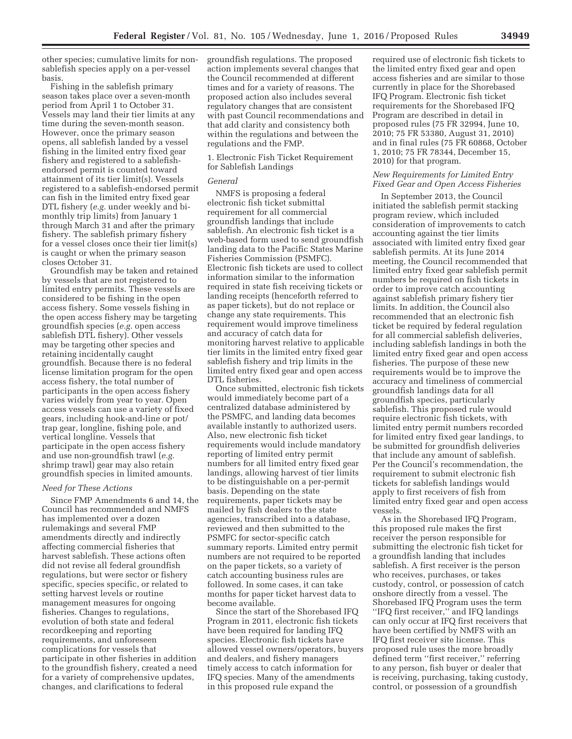other species; cumulative limits for nonsablefish species apply on a per-vessel basis.

Fishing in the sablefish primary season takes place over a seven-month period from April 1 to October 31. Vessels may land their tier limits at any time during the seven-month season. However, once the primary season opens, all sablefish landed by a vessel fishing in the limited entry fixed gear fishery and registered to a sablefishendorsed permit is counted toward attainment of its tier limit(s). Vessels registered to a sablefish-endorsed permit can fish in the limited entry fixed gear DTL fishery (*e.g.* under weekly and bimonthly trip limits) from January 1 through March 31 and after the primary fishery. The sablefish primary fishery for a vessel closes once their tier limit(s) is caught or when the primary season closes October 31.

Groundfish may be taken and retained by vessels that are not registered to limited entry permits. These vessels are considered to be fishing in the open access fishery. Some vessels fishing in the open access fishery may be targeting groundfish species (*e.g.* open access sablefish DTL fishery). Other vessels may be targeting other species and retaining incidentally caught groundfish. Because there is no federal license limitation program for the open access fishery, the total number of participants in the open access fishery varies widely from year to year. Open access vessels can use a variety of fixed gears, including hook-and-line or pot/ trap gear, longline, fishing pole, and vertical longline. Vessels that participate in the open access fishery and use non-groundfish trawl (*e.g.*  shrimp trawl) gear may also retain groundfish species in limited amounts.

## *Need for These Actions*

Since FMP Amendments 6 and 14, the Council has recommended and NMFS has implemented over a dozen rulemakings and several FMP amendments directly and indirectly affecting commercial fisheries that harvest sablefish. These actions often did not revise all federal groundfish regulations, but were sector or fishery specific, species specific, or related to setting harvest levels or routine management measures for ongoing fisheries. Changes to regulations, evolution of both state and federal recordkeeping and reporting requirements, and unforeseen complications for vessels that participate in other fisheries in addition to the groundfish fishery, created a need for a variety of comprehensive updates, changes, and clarifications to federal

groundfish regulations. The proposed action implements several changes that the Council recommended at different times and for a variety of reasons. The proposed action also includes several regulatory changes that are consistent with past Council recommendations and that add clarity and consistency both within the regulations and between the regulations and the FMP.

## 1. Electronic Fish Ticket Requirement for Sablefish Landings

### *General*

NMFS is proposing a federal electronic fish ticket submittal requirement for all commercial groundfish landings that include sablefish. An electronic fish ticket is a web-based form used to send groundfish landing data to the Pacific States Marine Fisheries Commission (PSMFC). Electronic fish tickets are used to collect information similar to the information required in state fish receiving tickets or landing receipts (henceforth referred to as paper tickets), but do not replace or change any state requirements. This requirement would improve timeliness and accuracy of catch data for monitoring harvest relative to applicable tier limits in the limited entry fixed gear sablefish fishery and trip limits in the limited entry fixed gear and open access DTL fisheries.

Once submitted, electronic fish tickets would immediately become part of a centralized database administered by the PSMFC, and landing data becomes available instantly to authorized users. Also, new electronic fish ticket requirements would include mandatory reporting of limited entry permit numbers for all limited entry fixed gear landings, allowing harvest of tier limits to be distinguishable on a per-permit basis. Depending on the state requirements, paper tickets may be mailed by fish dealers to the state agencies, transcribed into a database, reviewed and then submitted to the PSMFC for sector-specific catch summary reports. Limited entry permit numbers are not required to be reported on the paper tickets, so a variety of catch accounting business rules are followed. In some cases, it can take months for paper ticket harvest data to become available.

Since the start of the Shorebased IFQ Program in 2011, electronic fish tickets have been required for landing IFQ species. Electronic fish tickets have allowed vessel owners/operators, buyers and dealers, and fishery managers timely access to catch information for IFQ species. Many of the amendments in this proposed rule expand the

required use of electronic fish tickets to the limited entry fixed gear and open access fisheries and are similar to those currently in place for the Shorebased IFQ Program. Electronic fish ticket requirements for the Shorebased IFQ Program are described in detail in proposed rules (75 FR 32994, June 10, 2010; 75 FR 53380, August 31, 2010) and in final rules (75 FR 60868, October 1, 2010; 75 FR 78344, December 15, 2010) for that program.

### *New Requirements for Limited Entry Fixed Gear and Open Access Fisheries*

In September 2013, the Council initiated the sablefish permit stacking program review, which included consideration of improvements to catch accounting against the tier limits associated with limited entry fixed gear sablefish permits. At its June 2014 meeting, the Council recommended that limited entry fixed gear sablefish permit numbers be required on fish tickets in order to improve catch accounting against sablefish primary fishery tier limits. In addition, the Council also recommended that an electronic fish ticket be required by federal regulation for all commercial sablefish deliveries, including sablefish landings in both the limited entry fixed gear and open access fisheries. The purpose of these new requirements would be to improve the accuracy and timeliness of commercial groundfish landings data for all groundfish species, particularly sablefish. This proposed rule would require electronic fish tickets, with limited entry permit numbers recorded for limited entry fixed gear landings, to be submitted for groundfish deliveries that include any amount of sablefish. Per the Council's recommendation, the requirement to submit electronic fish tickets for sablefish landings would apply to first receivers of fish from limited entry fixed gear and open access vessels.

As in the Shorebased IFQ Program, this proposed rule makes the first receiver the person responsible for submitting the electronic fish ticket for a groundfish landing that includes sablefish. A first receiver is the person who receives, purchases, or takes custody, control, or possession of catch onshore directly from a vessel. The Shorebased IFQ Program uses the term ''IFQ first receiver,'' and IFQ landings can only occur at IFQ first receivers that have been certified by NMFS with an IFQ first receiver site license. This proposed rule uses the more broadly defined term ''first receiver,'' referring to any person, fish buyer or dealer that is receiving, purchasing, taking custody, control, or possession of a groundfish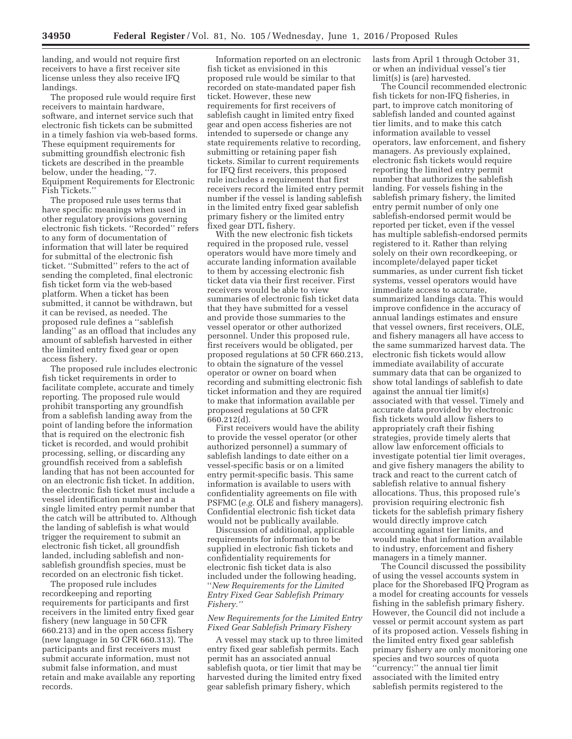landing, and would not require first receivers to have a first receiver site license unless they also receive IFQ landings.

The proposed rule would require first receivers to maintain hardware, software, and internet service such that electronic fish tickets can be submitted in a timely fashion via web-based forms. These equipment requirements for submitting groundfish electronic fish tickets are described in the preamble below, under the heading, ''7. Equipment Requirements for Electronic Fish Tickets.''

The proposed rule uses terms that have specific meanings when used in other regulatory provisions governing electronic fish tickets. ''Recorded'' refers to any form of documentation of information that will later be required for submittal of the electronic fish ticket. ''Submitted'' refers to the act of sending the completed, final electronic fish ticket form via the web-based platform. When a ticket has been submitted, it cannot be withdrawn, but it can be revised, as needed. The proposed rule defines a ''sablefish landing'' as an offload that includes any amount of sablefish harvested in either the limited entry fixed gear or open access fishery.

The proposed rule includes electronic fish ticket requirements in order to facilitate complete, accurate and timely reporting. The proposed rule would prohibit transporting any groundfish from a sablefish landing away from the point of landing before the information that is required on the electronic fish ticket is recorded, and would prohibit processing, selling, or discarding any groundfish received from a sablefish landing that has not been accounted for on an electronic fish ticket. In addition, the electronic fish ticket must include a vessel identification number and a single limited entry permit number that the catch will be attributed to. Although the landing of sablefish is what would trigger the requirement to submit an electronic fish ticket, all groundfish landed, including sablefish and nonsablefish groundfish species, must be recorded on an electronic fish ticket.

The proposed rule includes recordkeeping and reporting requirements for participants and first receivers in the limited entry fixed gear fishery (new language in 50 CFR 660.213) and in the open access fishery (new language in 50 CFR 660.313). The participants and first receivers must submit accurate information, must not submit false information, and must retain and make available any reporting records.

Information reported on an electronic fish ticket as envisioned in this proposed rule would be similar to that recorded on state-mandated paper fish ticket. However, these new requirements for first receivers of sablefish caught in limited entry fixed gear and open access fisheries are not intended to supersede or change any state requirements relative to recording, submitting or retaining paper fish tickets. Similar to current requirements for IFQ first receivers, this proposed rule includes a requirement that first receivers record the limited entry permit number if the vessel is landing sablefish in the limited entry fixed gear sablefish primary fishery or the limited entry fixed gear DTL fishery.

With the new electronic fish tickets required in the proposed rule, vessel operators would have more timely and accurate landing information available to them by accessing electronic fish ticket data via their first receiver. First receivers would be able to view summaries of electronic fish ticket data that they have submitted for a vessel and provide those summaries to the vessel operator or other authorized personnel. Under this proposed rule, first receivers would be obligated, per proposed regulations at 50 CFR 660.213, to obtain the signature of the vessel operator or owner on board when recording and submitting electronic fish ticket information and they are required to make that information available per proposed regulations at 50 CFR 660.212(d).

First receivers would have the ability to provide the vessel operator (or other authorized personnel) a summary of sablefish landings to date either on a vessel-specific basis or on a limited entry permit-specific basis. This same information is available to users with confidentiality agreements on file with PSFMC (*e.g.* OLE and fishery managers). Confidential electronic fish ticket data would not be publically available.

Discussion of additional, applicable requirements for information to be supplied in electronic fish tickets and confidentiality requirements for electronic fish ticket data is also included under the following heading, ''*New Requirements for the Limited Entry Fixed Gear Sablefish Primary Fishery.''* 

### *New Requirements for the Limited Entry Fixed Gear Sablefish Primary Fishery*

A vessel may stack up to three limited entry fixed gear sablefish permits. Each permit has an associated annual sablefish quota, or tier limit that may be harvested during the limited entry fixed gear sablefish primary fishery, which

lasts from April 1 through October 31, or when an individual vessel's tier limit(s) is (are) harvested.

The Council recommended electronic fish tickets for non-IFQ fisheries, in part, to improve catch monitoring of sablefish landed and counted against tier limits, and to make this catch information available to vessel operators, law enforcement, and fishery managers. As previously explained, electronic fish tickets would require reporting the limited entry permit number that authorizes the sablefish landing. For vessels fishing in the sablefish primary fishery, the limited entry permit number of only one sablefish-endorsed permit would be reported per ticket, even if the vessel has multiple sablefish-endorsed permits registered to it. Rather than relying solely on their own recordkeeping, or incomplete/delayed paper ticket summaries, as under current fish ticket systems, vessel operators would have immediate access to accurate, summarized landings data. This would improve confidence in the accuracy of annual landings estimates and ensure that vessel owners, first receivers, OLE, and fishery managers all have access to the same summarized harvest data. The electronic fish tickets would allow immediate availability of accurate summary data that can be organized to show total landings of sablefish to date against the annual tier limit(s) associated with that vessel. Timely and accurate data provided by electronic fish tickets would allow fishers to appropriately craft their fishing strategies, provide timely alerts that allow law enforcement officials to investigate potential tier limit overages, and give fishery managers the ability to track and react to the current catch of sablefish relative to annual fishery allocations. Thus, this proposed rule's provision requiring electronic fish tickets for the sablefish primary fishery would directly improve catch accounting against tier limits, and would make that information available to industry, enforcement and fishery managers in a timely manner.

The Council discussed the possibility of using the vessel accounts system in place for the Shorebased IFQ Program as a model for creating accounts for vessels fishing in the sablefish primary fishery. However, the Council did not include a vessel or permit account system as part of its proposed action. Vessels fishing in the limited entry fixed gear sablefish primary fishery are only monitoring one species and two sources of quota ''currency:'' the annual tier limit associated with the limited entry sablefish permits registered to the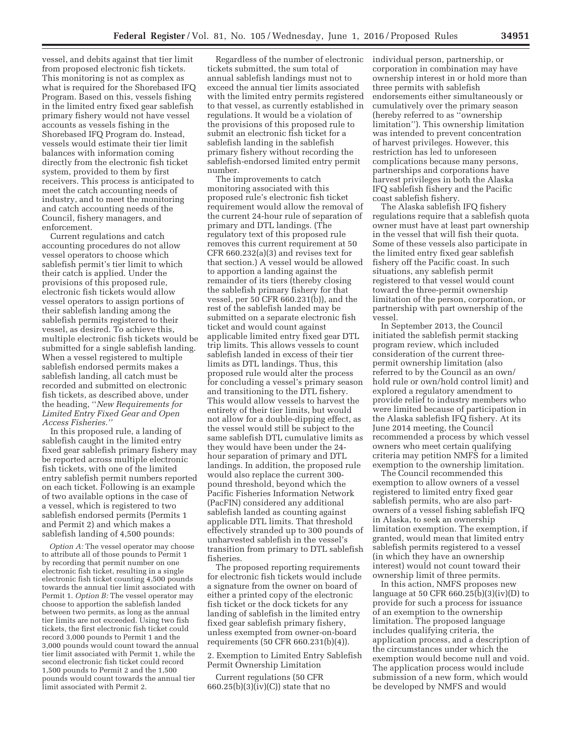vessel, and debits against that tier limit from proposed electronic fish tickets. This monitoring is not as complex as what is required for the Shorebased IFQ Program. Based on this, vessels fishing in the limited entry fixed gear sablefish primary fishery would not have vessel accounts as vessels fishing in the Shorebased IFQ Program do. Instead, vessels would estimate their tier limit balances with information coming directly from the electronic fish ticket system, provided to them by first receivers. This process is anticipated to meet the catch accounting needs of industry, and to meet the monitoring and catch accounting needs of the Council, fishery managers, and enforcement.

Current regulations and catch accounting procedures do not allow vessel operators to choose which sablefish permit's tier limit to which their catch is applied. Under the provisions of this proposed rule, electronic fish tickets would allow vessel operators to assign portions of their sablefish landing among the sablefish permits registered to their vessel, as desired. To achieve this, multiple electronic fish tickets would be submitted for a single sablefish landing. When a vessel registered to multiple sablefish endorsed permits makes a sablefish landing, all catch must be recorded and submitted on electronic fish tickets, as described above, under the heading, ''*New Requirements for Limited Entry Fixed Gear and Open Access Fisheries.''* 

In this proposed rule, a landing of sablefish caught in the limited entry fixed gear sablefish primary fishery may be reported across multiple electronic fish tickets, with one of the limited entry sablefish permit numbers reported on each ticket. Following is an example of two available options in the case of a vessel, which is registered to two sablefish endorsed permits (Permits 1 and Permit 2) and which makes a sablefish landing of 4,500 pounds:

*Option A:* The vessel operator may choose to attribute all of those pounds to Permit 1 by recording that permit number on one electronic fish ticket, resulting in a single electronic fish ticket counting 4,500 pounds towards the annual tier limit associated with Permit 1. *Option B:* The vessel operator may choose to apportion the sablefish landed between two permits, as long as the annual tier limits are not exceeded. Using two fish tickets, the first electronic fish ticket could record 3,000 pounds to Permit 1 and the 3,000 pounds would count toward the annual tier limit associated with Permit 1, while the second electronic fish ticket could record 1,500 pounds to Permit 2 and the 1,500 pounds would count towards the annual tier limit associated with Permit 2.

Regardless of the number of electronic tickets submitted, the sum total of annual sablefish landings must not to exceed the annual tier limits associated with the limited entry permits registered to that vessel, as currently established in regulations. It would be a violation of the provisions of this proposed rule to submit an electronic fish ticket for a sablefish landing in the sablefish primary fishery without recording the sablefish-endorsed limited entry permit number.

The improvements to catch monitoring associated with this proposed rule's electronic fish ticket requirement would allow the removal of the current 24-hour rule of separation of primary and DTL landings. (The regulatory text of this proposed rule removes this current requirement at 50 CFR 660.232(a)(3) and revises text for that section.) A vessel would be allowed to apportion a landing against the remainder of its tiers (thereby closing the sablefish primary fishery for that vessel, per 50 CFR 660.231(b)), and the rest of the sablefish landed may be submitted on a separate electronic fish ticket and would count against applicable limited entry fixed gear DTL trip limits. This allows vessels to count sablefish landed in excess of their tier limits as DTL landings. Thus, this proposed rule would alter the process for concluding a vessel's primary season and transitioning to the DTL fishery. This would allow vessels to harvest the entirety of their tier limits, but would not allow for a double-dipping effect, as the vessel would still be subject to the same sablefish DTL cumulative limits as they would have been under the 24 hour separation of primary and DTL landings. In addition, the proposed rule would also replace the current 300 pound threshold, beyond which the Pacific Fisheries Information Network (PacFIN) considered any additional sablefish landed as counting against applicable DTL limits. That threshold effectively stranded up to 300 pounds of unharvested sablefish in the vessel's transition from primary to DTL sablefish fisheries.

The proposed reporting requirements for electronic fish tickets would include a signature from the owner on board of either a printed copy of the electronic fish ticket or the dock tickets for any landing of sablefish in the limited entry fixed gear sablefish primary fishery, unless exempted from owner-on-board requirements (50 CFR 660.231(b)(4)).

2. Exemption to Limited Entry Sablefish Permit Ownership Limitation

Current regulations (50 CFR  $660.25(b)(3)(iv)(C)$  state that no individual person, partnership, or corporation in combination may have ownership interest in or hold more than three permits with sablefish endorsements either simultaneously or cumulatively over the primary season (hereby referred to as ''ownership limitation''). This ownership limitation was intended to prevent concentration of harvest privileges. However, this restriction has led to unforeseen complications because many persons, partnerships and corporations have harvest privileges in both the Alaska IFQ sablefish fishery and the Pacific coast sablefish fishery.

The Alaska sablefish IFQ fishery regulations require that a sablefish quota owner must have at least part ownership in the vessel that will fish their quota. Some of these vessels also participate in the limited entry fixed gear sablefish fishery off the Pacific coast. In such situations, any sablefish permit registered to that vessel would count toward the three-permit ownership limitation of the person, corporation, or partnership with part ownership of the vessel.

In September 2013, the Council initiated the sablefish permit stacking program review, which included consideration of the current threepermit ownership limitation (also referred to by the Council as an own/ hold rule or own/hold control limit) and explored a regulatory amendment to provide relief to industry members who were limited because of participation in the Alaska sablefish IFQ fishery. At its June 2014 meeting, the Council recommended a process by which vessel owners who meet certain qualifying criteria may petition NMFS for a limited exemption to the ownership limitation.

The Council recommended this exemption to allow owners of a vessel registered to limited entry fixed gear sablefish permits, who are also partowners of a vessel fishing sablefish IFQ in Alaska, to seek an ownership limitation exemption. The exemption, if granted, would mean that limited entry sablefish permits registered to a vessel (in which they have an ownership interest) would not count toward their ownership limit of three permits.

In this action, NMFS proposes new language at 50 CFR  $660.25(b)(3)(iv)(D)$  to provide for such a process for issuance of an exemption to the ownership limitation. The proposed language includes qualifying criteria, the application process, and a description of the circumstances under which the exemption would become null and void. The application process would include submission of a new form, which would be developed by NMFS and would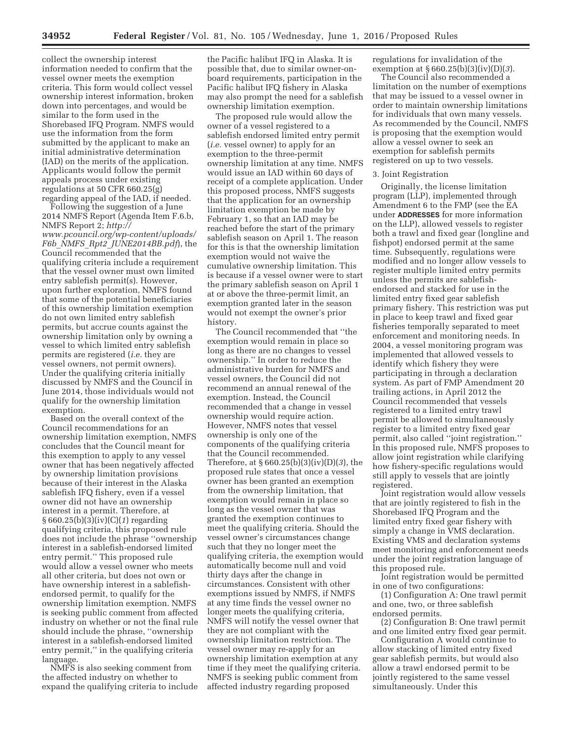collect the ownership interest information needed to confirm that the vessel owner meets the exemption criteria. This form would collect vessel ownership interest information, broken down into percentages, and would be similar to the form used in the Shorebased IFQ Program. NMFS would use the information from the form submitted by the applicant to make an initial administrative determination (IAD) on the merits of the application. Applicants would follow the permit appeals process under existing regulations at 50 CFR 660.25(g) regarding appeal of the IAD, if needed.

Following the suggestion of a June 2014 NMFS Report (Agenda Item F.6.b, NMFS Report 2; *http:// www.pcouncil.org/wp-content/uploads/ F6b*\_*NMFS*\_*Rpt2*\_*JUNE2014BB.pdf*), the Council recommended that the qualifying criteria include a requirement that the vessel owner must own limited entry sablefish permit(s). However, upon further exploration, NMFS found that some of the potential beneficiaries of this ownership limitation exemption do not own limited entry sablefish permits, but accrue counts against the ownership limitation only by owning a vessel to which limited entry sablefish permits are registered (*i.e.* they are vessel owners, not permit owners). Under the qualifying criteria initially discussed by NMFS and the Council in June 2014, those individuals would not qualify for the ownership limitation exemption.

Based on the overall context of the Council recommendations for an ownership limitation exemption, NMFS concludes that the Council meant for this exemption to apply to any vessel owner that has been negatively affected by ownership limitation provisions because of their interest in the Alaska sablefish IFQ fishery, even if a vessel owner did not have an ownership interest in a permit. Therefore, at § 660.25(b)(3)(iv)(C)(*1*) regarding qualifying criteria, this proposed rule does not include the phrase ''ownership interest in a sablefish-endorsed limited entry permit.'' This proposed rule would allow a vessel owner who meets all other criteria, but does not own or have ownership interest in a sablefishendorsed permit, to qualify for the ownership limitation exemption. NMFS is seeking public comment from affected industry on whether or not the final rule should include the phrase, ''ownership interest in a sablefish-endorsed limited entry permit,'' in the qualifying criteria language.

NMFS is also seeking comment from the affected industry on whether to expand the qualifying criteria to include

the Pacific halibut IFQ in Alaska. It is possible that, due to similar owner-onboard requirements, participation in the Pacific halibut IFQ fishery in Alaska may also prompt the need for a sablefish ownership limitation exemption.

The proposed rule would allow the owner of a vessel registered to a sablefish endorsed limited entry permit (*i.e.* vessel owner) to apply for an exemption to the three-permit ownership limitation at any time. NMFS would issue an IAD within 60 days of receipt of a complete application. Under this proposed process, NMFS suggests that the application for an ownership limitation exemption be made by February 1, so that an IAD may be reached before the start of the primary sablefish season on April 1. The reason for this is that the ownership limitation exemption would not waive the cumulative ownership limitation. This is because if a vessel owner were to start the primary sablefish season on April 1 at or above the three-permit limit, an exemption granted later in the season would not exempt the owner's prior history.

The Council recommended that ''the exemption would remain in place so long as there are no changes to vessel ownership.'' In order to reduce the administrative burden for NMFS and vessel owners, the Council did not recommend an annual renewal of the exemption. Instead, the Council recommended that a change in vessel ownership would require action. However, NMFS notes that vessel ownership is only one of the components of the qualifying criteria that the Council recommended. Therefore, at § 660.25(b)(3)(iv)(D)(*3*), the proposed rule states that once a vessel owner has been granted an exemption from the ownership limitation, that exemption would remain in place so long as the vessel owner that was granted the exemption continues to meet the qualifying criteria. Should the vessel owner's circumstances change such that they no longer meet the qualifying criteria, the exemption would automatically become null and void thirty days after the change in circumstances. Consistent with other exemptions issued by NMFS, if NMFS at any time finds the vessel owner no longer meets the qualifying criteria, NMFS will notify the vessel owner that they are not compliant with the ownership limitation restriction. The vessel owner may re-apply for an ownership limitation exemption at any time if they meet the qualifying criteria. NMFS is seeking public comment from affected industry regarding proposed

regulations for invalidation of the exemption at § 660.25(b)(3)(iv)(D)(*3*).

The Council also recommended a limitation on the number of exemptions that may be issued to a vessel owner in order to maintain ownership limitations for individuals that own many vessels. As recommended by the Council, NMFS is proposing that the exemption would allow a vessel owner to seek an exemption for sablefish permits registered on up to two vessels.

#### 3. Joint Registration

Originally, the license limitation program (LLP), implemented through Amendment 6 to the FMP (see the EA under **ADDRESSES** for more information on the LLP), allowed vessels to register both a trawl and fixed gear (longline and fishpot) endorsed permit at the same time. Subsequently, regulations were modified and no longer allow vessels to register multiple limited entry permits unless the permits are sablefishendorsed and stacked for use in the limited entry fixed gear sablefish primary fishery. This restriction was put in place to keep trawl and fixed gear fisheries temporally separated to meet enforcement and monitoring needs. In 2004, a vessel monitoring program was implemented that allowed vessels to identify which fishery they were participating in through a declaration system. As part of FMP Amendment 20 trailing actions, in April 2012 the Council recommended that vessels registered to a limited entry trawl permit be allowed to simultaneously register to a limited entry fixed gear permit, also called ''joint registration.'' In this proposed rule, NMFS proposes to allow joint registration while clarifying how fishery-specific regulations would still apply to vessels that are jointly registered.

Joint registration would allow vessels that are jointly registered to fish in the Shorebased IFQ Program and the limited entry fixed gear fishery with simply a change in VMS declaration. Existing VMS and declaration systems meet monitoring and enforcement needs under the joint registration language of this proposed rule.

Joint registration would be permitted in one of two configurations:

(1) Configuration A: One trawl permit and one, two, or three sablefish endorsed permits.

(2) Configuration B: One trawl permit and one limited entry fixed gear permit.

Configuration A would continue to allow stacking of limited entry fixed gear sablefish permits, but would also allow a trawl endorsed permit to be jointly registered to the same vessel simultaneously. Under this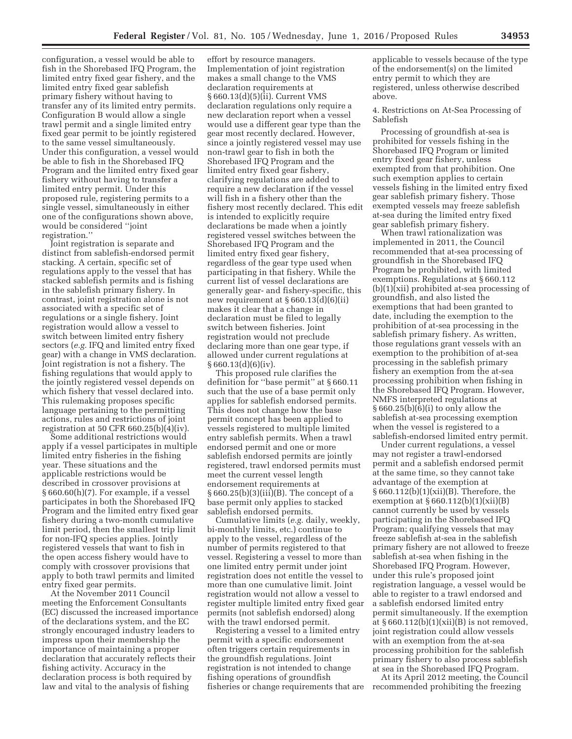configuration, a vessel would be able to fish in the Shorebased IFQ Program, the limited entry fixed gear fishery, and the limited entry fixed gear sablefish primary fishery without having to transfer any of its limited entry permits. Configuration B would allow a single trawl permit and a single limited entry fixed gear permit to be jointly registered to the same vessel simultaneously. Under this configuration, a vessel would be able to fish in the Shorebased IFQ Program and the limited entry fixed gear fishery without having to transfer a limited entry permit. Under this proposed rule, registering permits to a single vessel, simultaneously in either one of the configurations shown above, would be considered ''joint registration.''

Joint registration is separate and distinct from sablefish-endorsed permit stacking. A certain, specific set of regulations apply to the vessel that has stacked sablefish permits and is fishing in the sablefish primary fishery. In contrast, joint registration alone is not associated with a specific set of regulations or a single fishery. Joint registration would allow a vessel to switch between limited entry fishery sectors (*e.g.* IFQ and limited entry fixed gear) with a change in VMS declaration. Joint registration is not a fishery. The fishing regulations that would apply to the jointly registered vessel depends on which fishery that vessel declared into. This rulemaking proposes specific language pertaining to the permitting actions, rules and restrictions of joint registration at 50 CFR  $660.25(b)(4)(iv)$ .

Some additional restrictions would apply if a vessel participates in multiple limited entry fisheries in the fishing year. These situations and the applicable restrictions would be described in crossover provisions at § 660.60(h)(7). For example, if a vessel participates in both the Shorebased IFQ Program and the limited entry fixed gear fishery during a two-month cumulative limit period, then the smallest trip limit for non-IFQ species applies. Jointly registered vessels that want to fish in the open access fishery would have to comply with crossover provisions that apply to both trawl permits and limited entry fixed gear permits.

At the November 2011 Council meeting the Enforcement Consultants (EC) discussed the increased importance of the declarations system, and the EC strongly encouraged industry leaders to impress upon their membership the importance of maintaining a proper declaration that accurately reflects their fishing activity. Accuracy in the declaration process is both required by law and vital to the analysis of fishing

effort by resource managers. Implementation of joint registration makes a small change to the VMS declaration requirements at § 660.13(d)(5)(ii). Current VMS declaration regulations only require a new declaration report when a vessel would use a different gear type than the gear most recently declared. However, since a jointly registered vessel may use non-trawl gear to fish in both the Shorebased IFQ Program and the limited entry fixed gear fishery, clarifying regulations are added to require a new declaration if the vessel will fish in a fishery other than the fishery most recently declared. This edit is intended to explicitly require declarations be made when a jointly registered vessel switches between the Shorebased IFQ Program and the limited entry fixed gear fishery, regardless of the gear type used when participating in that fishery. While the current list of vessel declarations are generally gear- and fishery-specific, this new requirement at § 660.13(d)(6)(ii) makes it clear that a change in declaration must be filed to legally switch between fisheries. Joint registration would not preclude declaring more than one gear type, if allowed under current regulations at  $§ 660.13(d)(6)(iv).$ 

This proposed rule clarifies the definition for ''base permit'' at § 660.11 such that the use of a base permit only applies for sablefish endorsed permits. This does not change how the base permit concept has been applied to vessels registered to multiple limited entry sablefish permits. When a trawl endorsed permit and one or more sablefish endorsed permits are jointly registered, trawl endorsed permits must meet the current vessel length endorsement requirements at § 660.25(b)(3)(iii)(B). The concept of a base permit only applies to stacked sablefish endorsed permits.

Cumulative limits (*e.g.* daily, weekly, bi-monthly limits, etc.) continue to apply to the vessel, regardless of the number of permits registered to that vessel. Registering a vessel to more than one limited entry permit under joint registration does not entitle the vessel to more than one cumulative limit. Joint registration would not allow a vessel to register multiple limited entry fixed gear permits (not sablefish endorsed) along with the trawl endorsed permit.

Registering a vessel to a limited entry permit with a specific endorsement often triggers certain requirements in the groundfish regulations. Joint registration is not intended to change fishing operations of groundfish fisheries or change requirements that are applicable to vessels because of the type of the endorsement(s) on the limited entry permit to which they are registered, unless otherwise described above.

4. Restrictions on At-Sea Processing of Sablefish

Processing of groundfish at-sea is prohibited for vessels fishing in the Shorebased IFQ Program or limited entry fixed gear fishery, unless exempted from that prohibition. One such exemption applies to certain vessels fishing in the limited entry fixed gear sablefish primary fishery. Those exempted vessels may freeze sablefish at-sea during the limited entry fixed gear sablefish primary fishery.

When trawl rationalization was implemented in 2011, the Council recommended that at-sea processing of groundfish in the Shorebased IFQ Program be prohibited, with limited exemptions. Regulations at § 660.112 (b)(1)(xii) prohibited at-sea processing of groundfish, and also listed the exemptions that had been granted to date, including the exemption to the prohibition of at-sea processing in the sablefish primary fishery. As written, those regulations grant vessels with an exemption to the prohibition of at-sea processing in the sablefish primary fishery an exemption from the at-sea processing prohibition when fishing in the Shorebased IFQ Program. However, NMFS interpreted regulations at § 660.25(b)(6)(i) to only allow the sablefish at-sea processing exemption when the vessel is registered to a sablefish-endorsed limited entry permit.

Under current regulations, a vessel may not register a trawl-endorsed permit and a sablefish endorsed permit at the same time, so they cannot take advantage of the exemption at § 660.112(b)(1)(xii)(B). Therefore, the exemption at  $\S 660.112(b)(1)(xii)(B)$ cannot currently be used by vessels participating in the Shorebased IFQ Program; qualifying vessels that may freeze sablefish at-sea in the sablefish primary fishery are not allowed to freeze sablefish at-sea when fishing in the Shorebased IFQ Program. However, under this rule's proposed joint registration language, a vessel would be able to register to a trawl endorsed and a sablefish endorsed limited entry permit simultaneously. If the exemption at  $\S 660.112(b)(1)(xii)(B)$  is not removed, joint registration could allow vessels with an exemption from the at-sea processing prohibition for the sablefish primary fishery to also process sablefish at sea in the Shorebased IFQ Program.

At its April 2012 meeting, the Council recommended prohibiting the freezing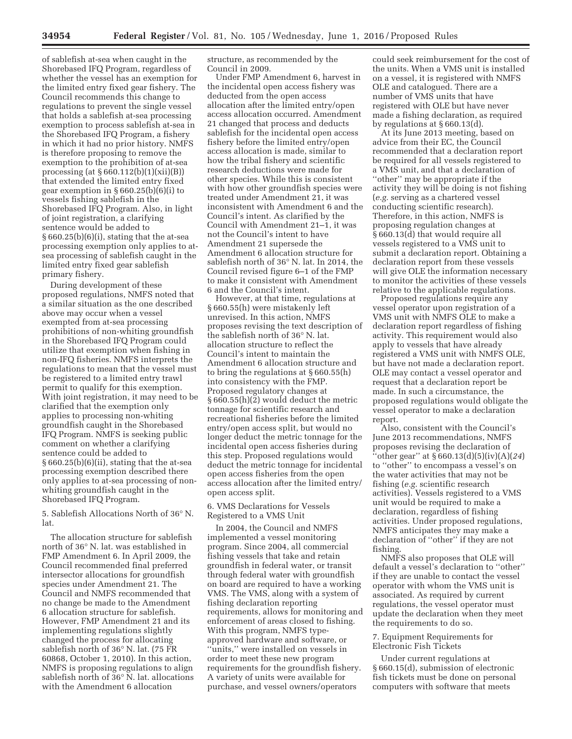of sablefish at-sea when caught in the Shorebased IFQ Program, regardless of whether the vessel has an exemption for the limited entry fixed gear fishery. The Council recommends this change to regulations to prevent the single vessel that holds a sablefish at-sea processing exemption to process sablefish at-sea in the Shorebased IFQ Program, a fishery in which it had no prior history. NMFS is therefore proposing to remove the exemption to the prohibition of at-sea processing (at § 660.112(b)(1)(xii)(B)) that extended the limited entry fixed gear exemption in  $§ 660.25(b)(6)(i)$  to vessels fishing sablefish in the Shorebased IFQ Program. Also, in light of joint registration, a clarifying sentence would be added to § 660.25(b)(6)(i), stating that the at-sea processing exemption only applies to atsea processing of sablefish caught in the limited entry fixed gear sablefish primary fishery.

During development of these proposed regulations, NMFS noted that a similar situation as the one described above may occur when a vessel exempted from at-sea processing prohibitions of non-whiting groundfish in the Shorebased IFQ Program could utilize that exemption when fishing in non-IFQ fisheries. NMFS interprets the regulations to mean that the vessel must be registered to a limited entry trawl permit to qualify for this exemption. With joint registration, it may need to be clarified that the exemption only applies to processing non-whiting groundfish caught in the Shorebased IFQ Program. NMFS is seeking public comment on whether a clarifying sentence could be added to § 660.25(b)(6)(ii), stating that the at-sea processing exemption described there only applies to at-sea processing of nonwhiting groundfish caught in the Shorebased IFQ Program.

5. Sablefish Allocations North of 36° N. lat.

The allocation structure for sablefish north of 36° N. lat. was established in FMP Amendment 6. In April 2009, the Council recommended final preferred intersector allocations for groundfish species under Amendment 21. The Council and NMFS recommended that no change be made to the Amendment 6 allocation structure for sablefish. However, FMP Amendment 21 and its implementing regulations slightly changed the process for allocating sablefish north of 36° N. lat. (75 FR 60868, October 1, 2010). In this action, NMFS is proposing regulations to align sablefish north of 36° N. lat. allocations with the Amendment 6 allocation

structure, as recommended by the Council in 2009.

Under FMP Amendment 6, harvest in the incidental open access fishery was deducted from the open access allocation after the limited entry/open access allocation occurred. Amendment 21 changed that process and deducts sablefish for the incidental open access fishery before the limited entry/open access allocation is made, similar to how the tribal fishery and scientific research deductions were made for other species. While this is consistent with how other groundfish species were treated under Amendment 21, it was inconsistent with Amendment 6 and the Council's intent. As clarified by the Council with Amendment 21–1, it was not the Council's intent to have Amendment 21 supersede the Amendment 6 allocation structure for sablefish north of 36° N. lat. In 2014, the Council revised figure 6–1 of the FMP to make it consistent with Amendment 6 and the Council's intent.

However, at that time, regulations at § 660.55(h) were mistakenly left unrevised. In this action, NMFS proposes revising the text description of the sablefish north of 36° N. lat. allocation structure to reflect the Council's intent to maintain the Amendment 6 allocation structure and to bring the regulations at § 660.55(h) into consistency with the FMP. Proposed regulatory changes at § 660.55(h)(2) would deduct the metric tonnage for scientific research and recreational fisheries before the limited entry/open access split, but would no longer deduct the metric tonnage for the incidental open access fisheries during this step. Proposed regulations would deduct the metric tonnage for incidental open access fisheries from the open access allocation after the limited entry/ open access split.

6. VMS Declarations for Vessels Registered to a VMS Unit

In 2004, the Council and NMFS implemented a vessel monitoring program. Since 2004, all commercial fishing vessels that take and retain groundfish in federal water, or transit through federal water with groundfish on board are required to have a working VMS. The VMS, along with a system of fishing declaration reporting requirements, allows for monitoring and enforcement of areas closed to fishing. With this program, NMFS typeapproved hardware and software, or ''units,'' were installed on vessels in order to meet these new program requirements for the groundfish fishery. A variety of units were available for purchase, and vessel owners/operators

could seek reimbursement for the cost of the units. When a VMS unit is installed on a vessel, it is registered with NMFS OLE and catalogued. There are a number of VMS units that have registered with OLE but have never made a fishing declaration, as required by regulations at § 660.13(d).

At its June 2013 meeting, based on advice from their EC, the Council recommended that a declaration report be required for all vessels registered to a VMS unit, and that a declaration of ''other'' may be appropriate if the activity they will be doing is not fishing (*e.g.* serving as a chartered vessel conducting scientific research). Therefore, in this action, NMFS is proposing regulation changes at § 660.13(d) that would require all vessels registered to a VMS unit to submit a declaration report. Obtaining a declaration report from these vessels will give OLE the information necessary to monitor the activities of these vessels relative to the applicable regulations.

Proposed regulations require any vessel operator upon registration of a VMS unit with NMFS OLE to make a declaration report regardless of fishing activity. This requirement would also apply to vessels that have already registered a VMS unit with NMFS OLE, but have not made a declaration report. OLE may contact a vessel operator and request that a declaration report be made. In such a circumstance, the proposed regulations would obligate the vessel operator to make a declaration report.

Also, consistent with the Council's June 2013 recommendations, NMFS proposes revising the declaration of ''other gear'' at § 660.13(d)(5)(iv)(A)(*24*) to ''other'' to encompass a vessel's on the water activities that may not be fishing (*e.g.* scientific research activities). Vessels registered to a VMS unit would be required to make a declaration, regardless of fishing activities. Under proposed regulations, NMFS anticipates they may make a declaration of ''other'' if they are not fishing.

NMFS also proposes that OLE will default a vessel's declaration to ''other'' if they are unable to contact the vessel operator with whom the VMS unit is associated. As required by current regulations, the vessel operator must update the declaration when they meet the requirements to do so.

7. Equipment Requirements for Electronic Fish Tickets

Under current regulations at § 660.15(d), submission of electronic fish tickets must be done on personal computers with software that meets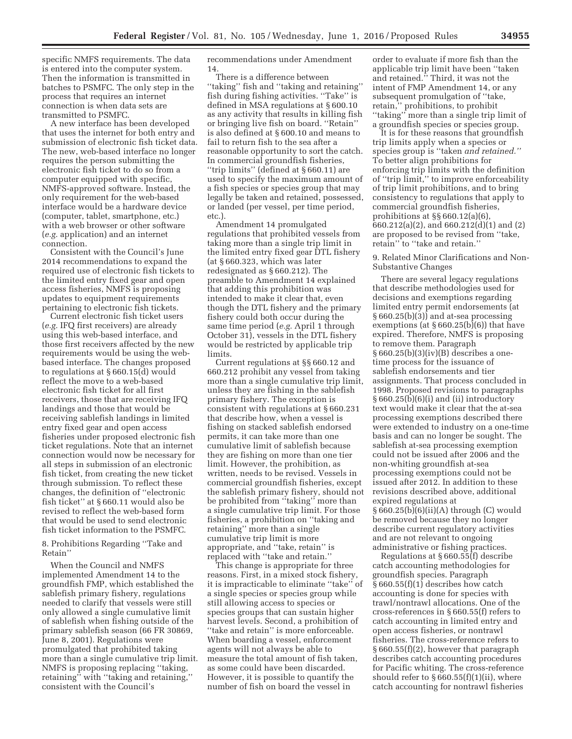specific NMFS requirements. The data is entered into the computer system. Then the information is transmitted in batches to PSMFC. The only step in the process that requires an internet connection is when data sets are transmitted to PSMFC.

A new interface has been developed that uses the internet for both entry and submission of electronic fish ticket data. The new, web-based interface no longer requires the person submitting the electronic fish ticket to do so from a computer equipped with specific, NMFS-approved software. Instead, the only requirement for the web-based interface would be a hardware device (computer, tablet, smartphone, etc.) with a web browser or other software (*e.g.* application) and an internet connection.

Consistent with the Council's June 2014 recommendations to expand the required use of electronic fish tickets to the limited entry fixed gear and open access fisheries, NMFS is proposing updates to equipment requirements pertaining to electronic fish tickets.

Current electronic fish ticket users (*e.g.* IFQ first receivers) are already using this web-based interface, and those first receivers affected by the new requirements would be using the webbased interface. The changes proposed to regulations at § 660.15(d) would reflect the move to a web-based electronic fish ticket for all first receivers, those that are receiving IFQ landings and those that would be receiving sablefish landings in limited entry fixed gear and open access fisheries under proposed electronic fish ticket regulations. Note that an internet connection would now be necessary for all steps in submission of an electronic fish ticket, from creating the new ticket through submission. To reflect these changes, the definition of ''electronic fish ticket'' at § 660.11 would also be revised to reflect the web-based form that would be used to send electronic fish ticket information to the PSMFC.

8. Prohibitions Regarding ''Take and Retain''

When the Council and NMFS implemented Amendment 14 to the groundfish FMP, which established the sablefish primary fishery, regulations needed to clarify that vessels were still only allowed a single cumulative limit of sablefish when fishing outside of the primary sablefish season (66 FR 30869, June 8, 2001). Regulations were promulgated that prohibited taking more than a single cumulative trip limit. NMFS is proposing replacing ''taking, retaining'' with ''taking and retaining,'' consistent with the Council's

recommendations under Amendment 14.

There is a difference between ''taking'' fish and ''taking and retaining'' fish during fishing activities. ''Take'' is defined in MSA regulations at § 600.10 as any activity that results in killing fish or bringing live fish on board. ''Retain'' is also defined at § 600.10 and means to fail to return fish to the sea after a reasonable opportunity to sort the catch. In commercial groundfish fisheries, ''trip limits'' (defined at § 660.11) are used to specify the maximum amount of a fish species or species group that may legally be taken and retained, possessed, or landed (per vessel, per time period, etc.).

Amendment 14 promulgated regulations that prohibited vessels from taking more than a single trip limit in the limited entry fixed gear DTL fishery (at § 660.323, which was later redesignated as § 660.212). The preamble to Amendment 14 explained that adding this prohibition was intended to make it clear that, even though the DTL fishery and the primary fishery could both occur during the same time period (*e.g.* April 1 through October 31), vessels in the DTL fishery would be restricted by applicable trip limits.

Current regulations at §§ 660.12 and 660.212 prohibit any vessel from taking more than a single cumulative trip limit, unless they are fishing in the sablefish primary fishery. The exception is consistent with regulations at § 660.231 that describe how, when a vessel is fishing on stacked sablefish endorsed permits, it can take more than one cumulative limit of sablefish because they are fishing on more than one tier limit. However, the prohibition, as written, needs to be revised. Vessels in commercial groundfish fisheries, except the sablefish primary fishery, should not be prohibited from ''taking'' more than a single cumulative trip limit. For those fisheries, a prohibition on ''taking and retaining'' more than a single cumulative trip limit is more appropriate, and ''take, retain'' is replaced with ''take and retain.''

This change is appropriate for three reasons. First, in a mixed stock fishery, it is impracticable to eliminate ''take'' of a single species or species group while still allowing access to species or species groups that can sustain higher harvest levels. Second, a prohibition of ''take and retain'' is more enforceable. When boarding a vessel, enforcement agents will not always be able to measure the total amount of fish taken, as some could have been discarded. However, it is possible to quantify the number of fish on board the vessel in

order to evaluate if more fish than the applicable trip limit have been ''taken and retained.'' Third, it was not the intent of FMP Amendment 14, or any subsequent promulgation of ''take, retain,'' prohibitions, to prohibit ''taking'' more than a single trip limit of a groundfish species or species group.

It is for these reasons that groundfish trip limits apply when a species or species group is ''taken *and retained.''*  To better align prohibitions for enforcing trip limits with the definition of ''trip limit,'' to improve enforceability of trip limit prohibitions, and to bring consistency to regulations that apply to commercial groundfish fisheries, prohibitions at §§ 660.12(a)(6), 660.212(a)(2), and 660.212(d)(1) and (2) are proposed to be revised from ''take, retain'' to ''take and retain.''

9. Related Minor Clarifications and Non-Substantive Changes

There are several legacy regulations that describe methodologies used for decisions and exemptions regarding limited entry permit endorsements (at § 660.25(b)(3)) and at-sea processing exemptions (at  $§ 660.25(b)(6)$ ) that have expired. Therefore, NMFS is proposing to remove them. Paragraph § 660.25(b)(3)(iv)(B) describes a onetime process for the issuance of sablefish endorsements and tier assignments. That process concluded in 1998. Proposed revisions to paragraphs  $§ 660.25(b)(6)(i)$  and (ii) introductory text would make it clear that the at-sea processing exemptions described there were extended to industry on a one-time basis and can no longer be sought. The sablefish at-sea processing exemption could not be issued after 2006 and the non-whiting groundfish at-sea processing exemptions could not be issued after 2012. In addition to these revisions described above, additional expired regulations at § 660.25(b)(6)(ii)(A) through (C) would be removed because they no longer describe current regulatory activities and are not relevant to ongoing administrative or fishing practices.

Regulations at § 660.55(f) describe catch accounting methodologies for groundfish species. Paragraph § 660.55(f)(1) describes how catch accounting is done for species with trawl/nontrawl allocations. One of the cross-references in § 660.55(f) refers to catch accounting in limited entry and open access fisheries, or nontrawl fisheries. The cross-reference refers to § 660.55(f)(2), however that paragraph describes catch accounting procedures for Pacific whiting. The cross-reference should refer to  $\S 660.55(f)(1)(ii)$ , where catch accounting for nontrawl fisheries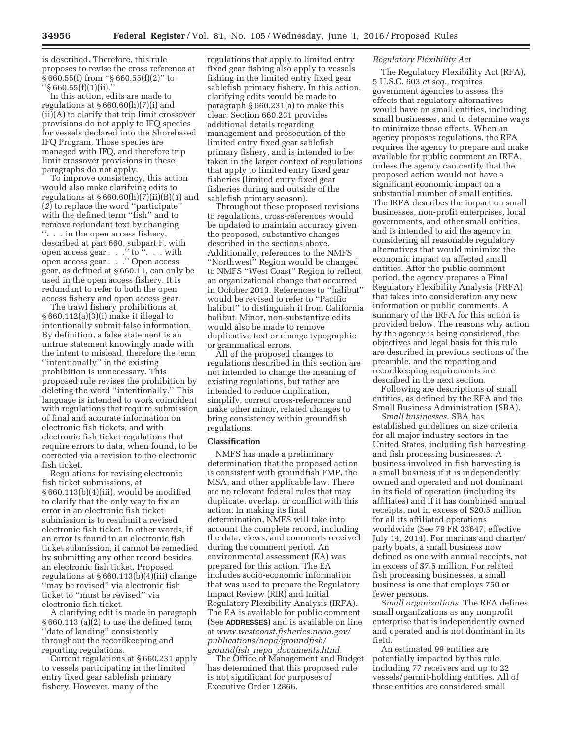is described. Therefore, this rule proposes to revise the cross reference at § 660.55(f) from ''§ 660.55(f)(2)'' to ''§ 660.55(f)(1)(ii).''

In this action, edits are made to regulations at § 660.60(h)(7)(i) and (ii)(A) to clarify that trip limit crossover provisions do not apply to IFQ species for vessels declared into the Shorebased IFQ Program. Those species are managed with IFQ, and therefore trip limit crossover provisions in these paragraphs do not apply.

To improve consistency, this action would also make clarifying edits to regulations at § 660.60(h)(7)(ii)(B)(*1*) and (*2*) to replace the word ''participate'' with the defined term "fish" and to remove redundant text by changing ''. . . in the open access fishery, described at part 660, subpart F, with open access gear . . .'' to ''. . . with open access gear . . .'' Open access gear, as defined at § 660.11, can only be used in the open access fishery. It is redundant to refer to both the open access fishery and open access gear.

The trawl fishery prohibitions at § 660.112(a)(3)(i) make it illegal to intentionally submit false information. By definition, a false statement is an untrue statement knowingly made with the intent to mislead, therefore the term ''intentionally'' in the existing prohibition is unnecessary. This proposed rule revises the prohibition by deleting the word ''intentionally.'' This language is intended to work coincident with regulations that require submission of final and accurate information on electronic fish tickets, and with electronic fish ticket regulations that require errors to data, when found, to be corrected via a revision to the electronic fish ticket.

Regulations for revising electronic fish ticket submissions, at § 660.113(b)(4)(iii), would be modified to clarify that the only way to fix an error in an electronic fish ticket submission is to resubmit a revised electronic fish ticket. In other words, if an error is found in an electronic fish ticket submission, it cannot be remedied by submitting any other record besides an electronic fish ticket. Proposed regulations at § 660.113(b)(4)(iii) change ''may be revised'' via electronic fish ticket to ''must be revised'' via electronic fish ticket.

A clarifying edit is made in paragraph § 660.113 (a)(2) to use the defined term ''date of landing'' consistently throughout the recordkeeping and reporting regulations.

Current regulations at § 660.231 apply to vessels participating in the limited entry fixed gear sablefish primary fishery. However, many of the

regulations that apply to limited entry fixed gear fishing also apply to vessels fishing in the limited entry fixed gear sablefish primary fishery. In this action, clarifying edits would be made to paragraph § 660.231(a) to make this clear. Section 660.231 provides additional details regarding management and prosecution of the limited entry fixed gear sablefish primary fishery, and is intended to be taken in the larger context of regulations that apply to limited entry fixed gear fisheries (limited entry fixed gear fisheries during and outside of the sablefish primary season).

Throughout these proposed revisions to regulations, cross-references would be updated to maintain accuracy given the proposed, substantive changes described in the sections above. Additionally, references to the NMFS ''Northwest'' Region would be changed to NMFS ''West Coast'' Region to reflect an organizational change that occurred in October 2013. References to ''halibut'' would be revised to refer to ''Pacific halibut'' to distinguish it from California halibut. Minor, non-substantive edits would also be made to remove duplicative text or change typographic or grammatical errors.

All of the proposed changes to regulations described in this section are not intended to change the meaning of existing regulations, but rather are intended to reduce duplication, simplify, correct cross-references and make other minor, related changes to bring consistency within groundfish regulations.

### **Classification**

NMFS has made a preliminary determination that the proposed action is consistent with groundfish FMP, the MSA, and other applicable law. There are no relevant federal rules that may duplicate, overlap, or conflict with this action. In making its final determination, NMFS will take into account the complete record, including the data, views, and comments received during the comment period. An environmental assessment (EA) was prepared for this action. The EA includes socio-economic information that was used to prepare the Regulatory Impact Review (RIR) and Initial Regulatory Flexibility Analysis (IRFA). The EA is available for public comment (See **ADDRESSES**) and is available on line at *www.westcoast.fisheries.noaa.gov/ publications/nepa/groundfish/ groundfish*\_*nepa*\_*documents.html.* 

The Office of Management and Budget has determined that this proposed rule is not significant for purposes of Executive Order 12866.

## *Regulatory Flexibility Act*

The Regulatory Flexibility Act (RFA), 5 U.S.C. 603 *et seq.,* requires government agencies to assess the effects that regulatory alternatives would have on small entities, including small businesses, and to determine ways to minimize those effects. When an agency proposes regulations, the RFA requires the agency to prepare and make available for public comment an IRFA, unless the agency can certify that the proposed action would not have a significant economic impact on a substantial number of small entities. The IRFA describes the impact on small businesses, non-profit enterprises, local governments, and other small entities, and is intended to aid the agency in considering all reasonable regulatory alternatives that would minimize the economic impact on affected small entities. After the public comment period, the agency prepares a Final Regulatory Flexibility Analysis (FRFA) that takes into consideration any new information or public comments. A summary of the IRFA for this action is provided below. The reasons why action by the agency is being considered, the objectives and legal basis for this rule are described in previous sections of the preamble, and the reporting and recordkeeping requirements are described in the next section.

Following are descriptions of small entities, as defined by the RFA and the Small Business Administration (SBA).

*Small businesses.* SBA has established guidelines on size criteria for all major industry sectors in the United States, including fish harvesting and fish processing businesses. A business involved in fish harvesting is a small business if it is independently owned and operated and not dominant in its field of operation (including its affiliates) and if it has combined annual receipts, not in excess of \$20.5 million for all its affiliated operations worldwide (See 79 FR 33647, effective July 14, 2014). For marinas and charter/ party boats, a small business now defined as one with annual receipts, not in excess of \$7.5 million. For related fish processing businesses, a small business is one that employs 750 or fewer persons.

*Small organizations.* The RFA defines small organizations as any nonprofit enterprise that is independently owned and operated and is not dominant in its field.

An estimated 99 entities are potentially impacted by this rule, including 77 receivers and up to 22 vessels/permit-holding entities. All of these entities are considered small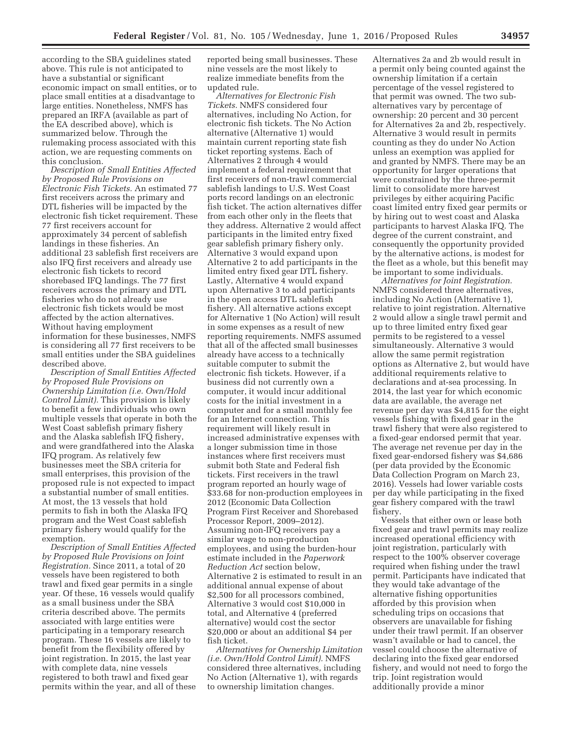according to the SBA guidelines stated above. This rule is not anticipated to have a substantial or significant economic impact on small entities, or to place small entities at a disadvantage to large entities. Nonetheless, NMFS has prepared an IRFA (available as part of the EA described above), which is summarized below. Through the rulemaking process associated with this action, we are requesting comments on this conclusion.

*Description of Small Entities Affected by Proposed Rule Provisions on Electronic Fish Tickets.* An estimated 77 first receivers across the primary and DTL fisheries will be impacted by the electronic fish ticket requirement. These 77 first receivers account for approximately 34 percent of sablefish landings in these fisheries. An additional 23 sablefish first receivers are also IFQ first receivers and already use electronic fish tickets to record shorebased IFQ landings. The 77 first receivers across the primary and DTL fisheries who do not already use electronic fish tickets would be most affected by the action alternatives. Without having employment information for these businesses, NMFS is considering all 77 first receivers to be small entities under the SBA guidelines described above.

*Description of Small Entities Affected by Proposed Rule Provisions on Ownership Limitation (i.e. Own/Hold Control Limit).* This provision is likely to benefit a few individuals who own multiple vessels that operate in both the West Coast sablefish primary fishery and the Alaska sablefish IFQ fishery, and were grandfathered into the Alaska IFQ program. As relatively few businesses meet the SBA criteria for small enterprises, this provision of the proposed rule is not expected to impact a substantial number of small entities. At most, the 13 vessels that hold permits to fish in both the Alaska IFQ program and the West Coast sablefish primary fishery would qualify for the exemption.

*Description of Small Entities Affected by Proposed Rule Provisions on Joint Registration.* Since 2011, a total of 20 vessels have been registered to both trawl and fixed gear permits in a single year. Of these, 16 vessels would qualify as a small business under the SBA criteria described above. The permits associated with large entities were participating in a temporary research program. These 16 vessels are likely to benefit from the flexibility offered by joint registration. In 2015, the last year with complete data, nine vessels registered to both trawl and fixed gear permits within the year, and all of these

reported being small businesses. These nine vessels are the most likely to realize immediate benefits from the updated rule.

*Alternatives for Electronic Fish Tickets.* NMFS considered four alternatives, including No Action, for electronic fish tickets. The No Action alternative (Alternative 1) would maintain current reporting state fish ticket reporting systems. Each of Alternatives 2 through 4 would implement a federal requirement that first receivers of non-trawl commercial sablefish landings to U.S. West Coast ports record landings on an electronic fish ticket. The action alternatives differ from each other only in the fleets that they address. Alternative 2 would affect participants in the limited entry fixed gear sablefish primary fishery only. Alternative 3 would expand upon Alternative 2 to add participants in the limited entry fixed gear DTL fishery. Lastly, Alternative 4 would expand upon Alternative 3 to add participants in the open access DTL sablefish fishery. All alternative actions except for Alternative 1 (No Action) will result in some expenses as a result of new reporting requirements. NMFS assumed that all of the affected small businesses already have access to a technically suitable computer to submit the electronic fish tickets. However, if a business did not currently own a computer, it would incur additional costs for the initial investment in a computer and for a small monthly fee for an Internet connection. This requirement will likely result in increased administrative expenses with a longer submission time in those instances where first receivers must submit both State and Federal fish tickets. First receivers in the trawl program reported an hourly wage of \$33.68 for non-production employees in 2012 (Economic Data Collection Program First Receiver and Shorebased Processor Report, 2009–2012). Assuming non-IFQ receivers pay a similar wage to non-production employees, and using the burden-hour estimate included in the *Paperwork Reduction Act* section below, Alternative 2 is estimated to result in an additional annual expense of about \$2,500 for all processors combined, Alternative 3 would cost \$10,000 in total, and Alternative 4 (preferred alternative) would cost the sector \$20,000 or about an additional \$4 per fish ticket.

*Alternatives for Ownership Limitation (i.e. Own/Hold Control Limit).* NMFS considered three alternatives, including No Action (Alternative 1), with regards to ownership limitation changes.

Alternatives 2a and 2b would result in a permit only being counted against the ownership limitation if a certain percentage of the vessel registered to that permit was owned. The two subalternatives vary by percentage of ownership: 20 percent and 30 percent for Alternatives 2a and 2b, respectively. Alternative 3 would result in permits counting as they do under No Action unless an exemption was applied for and granted by NMFS. There may be an opportunity for larger operations that were constrained by the three-permit limit to consolidate more harvest privileges by either acquiring Pacific coast limited entry fixed gear permits or by hiring out to west coast and Alaska participants to harvest Alaska IFQ. The degree of the current constraint, and consequently the opportunity provided by the alternative actions, is modest for the fleet as a whole, but this benefit may be important to some individuals.

*Alternatives for Joint Registration.*  NMFS considered three alternatives, including No Action (Alternative 1), relative to joint registration. Alternative 2 would allow a single trawl permit and up to three limited entry fixed gear permits to be registered to a vessel simultaneously. Alternative 3 would allow the same permit registration options as Alternative 2, but would have additional requirements relative to declarations and at-sea processing. In 2014, the last year for which economic data are available, the average net revenue per day was \$4,815 for the eight vessels fishing with fixed gear in the trawl fishery that were also registered to a fixed-gear endorsed permit that year. The average net revenue per day in the fixed gear-endorsed fishery was \$4,686 (per data provided by the Economic Data Collection Program on March 23, 2016). Vessels had lower variable costs per day while participating in the fixed gear fishery compared with the trawl fishery.

Vessels that either own or lease both fixed gear and trawl permits may realize increased operational efficiency with joint registration, particularly with respect to the 100% observer coverage required when fishing under the trawl permit. Participants have indicated that they would take advantage of the alternative fishing opportunities afforded by this provision when scheduling trips on occasions that observers are unavailable for fishing under their trawl permit. If an observer wasn't available or had to cancel, the vessel could choose the alternative of declaring into the fixed gear endorsed fishery, and would not need to forgo the trip. Joint registration would additionally provide a minor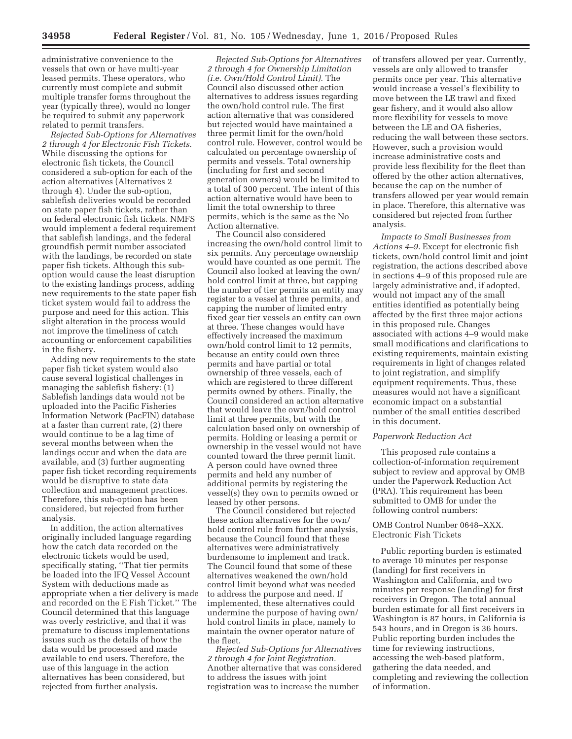administrative convenience to the vessels that own or have multi-year leased permits. These operators, who currently must complete and submit multiple transfer forms throughout the year (typically three), would no longer be required to submit any paperwork related to permit transfers.

*Rejected Sub-Options for Alternatives 2 through 4 for Electronic Fish Tickets.*  While discussing the options for electronic fish tickets, the Council considered a sub-option for each of the action alternatives (Alternatives 2 through 4). Under the sub-option, sablefish deliveries would be recorded on state paper fish tickets, rather than on federal electronic fish tickets. NMFS would implement a federal requirement that sablefish landings, and the federal groundfish permit number associated with the landings, be recorded on state paper fish tickets. Although this suboption would cause the least disruption to the existing landings process, adding new requirements to the state paper fish ticket system would fail to address the purpose and need for this action. This slight alteration in the process would not improve the timeliness of catch accounting or enforcement capabilities in the fishery.

Adding new requirements to the state paper fish ticket system would also cause several logistical challenges in managing the sablefish fishery: (1) Sablefish landings data would not be uploaded into the Pacific Fisheries Information Network (PacFIN) database at a faster than current rate, (2) there would continue to be a lag time of several months between when the landings occur and when the data are available, and (3) further augmenting paper fish ticket recording requirements would be disruptive to state data collection and management practices. Therefore, this sub-option has been considered, but rejected from further analysis.

In addition, the action alternatives originally included language regarding how the catch data recorded on the electronic tickets would be used, specifically stating, ''That tier permits be loaded into the IFQ Vessel Account System with deductions made as appropriate when a tier delivery is made and recorded on the E Fish Ticket.'' The Council determined that this language was overly restrictive, and that it was premature to discuss implementations issues such as the details of how the data would be processed and made available to end users. Therefore, the use of this language in the action alternatives has been considered, but rejected from further analysis.

*Rejected Sub-Options for Alternatives 2 through 4 for Ownership Limitation (i.e. Own/Hold Control Limit).* The Council also discussed other action alternatives to address issues regarding the own/hold control rule. The first action alternative that was considered but rejected would have maintained a three permit limit for the own/hold control rule. However, control would be calculated on percentage ownership of permits and vessels. Total ownership (including for first and second generation owners) would be limited to a total of 300 percent. The intent of this action alternative would have been to limit the total ownership to three permits, which is the same as the No Action alternative.

The Council also considered increasing the own/hold control limit to six permits. Any percentage ownership would have counted as one permit. The Council also looked at leaving the own/ hold control limit at three, but capping the number of tier permits an entity may register to a vessel at three permits, and capping the number of limited entry fixed gear tier vessels an entity can own at three. These changes would have effectively increased the maximum own/hold control limit to 12 permits, because an entity could own three permits and have partial or total ownership of three vessels, each of which are registered to three different permits owned by others. Finally, the Council considered an action alternative that would leave the own/hold control limit at three permits, but with the calculation based only on ownership of permits. Holding or leasing a permit or ownership in the vessel would not have counted toward the three permit limit. A person could have owned three permits and held any number of additional permits by registering the vessel(s) they own to permits owned or leased by other persons.

The Council considered but rejected these action alternatives for the own/ hold control rule from further analysis, because the Council found that these alternatives were administratively burdensome to implement and track. The Council found that some of these alternatives weakened the own/hold control limit beyond what was needed to address the purpose and need. If implemented, these alternatives could undermine the purpose of having own/ hold control limits in place, namely to maintain the owner operator nature of the fleet.

*Rejected Sub-Options for Alternatives 2 through 4 for Joint Registration.*  Another alternative that was considered to address the issues with joint registration was to increase the number

of transfers allowed per year. Currently, vessels are only allowed to transfer permits once per year. This alternative would increase a vessel's flexibility to move between the LE trawl and fixed gear fishery, and it would also allow more flexibility for vessels to move between the LE and OA fisheries, reducing the wall between these sectors. However, such a provision would increase administrative costs and provide less flexibility for the fleet than offered by the other action alternatives, because the cap on the number of transfers allowed per year would remain in place. Therefore, this alternative was considered but rejected from further analysis.

*Impacts to Small Businesses from Actions 4–9.* Except for electronic fish tickets, own/hold control limit and joint registration, the actions described above in sections 4–9 of this proposed rule are largely administrative and, if adopted, would not impact any of the small entities identified as potentially being affected by the first three major actions in this proposed rule. Changes associated with actions 4–9 would make small modifications and clarifications to existing requirements, maintain existing requirements in light of changes related to joint registration, and simplify equipment requirements. Thus, these measures would not have a significant economic impact on a substantial number of the small entities described in this document.

### *Paperwork Reduction Act*

This proposed rule contains a collection-of-information requirement subject to review and approval by OMB under the Paperwork Reduction Act (PRA). This requirement has been submitted to OMB for under the following control numbers:

## OMB Control Number 0648–XXX. Electronic Fish Tickets

Public reporting burden is estimated to average 10 minutes per response (landing) for first receivers in Washington and California, and two minutes per response (landing) for first receivers in Oregon. The total annual burden estimate for all first receivers in Washington is 87 hours, in California is 543 hours, and in Oregon is 36 hours. Public reporting burden includes the time for reviewing instructions, accessing the web-based platform, gathering the data needed, and completing and reviewing the collection of information.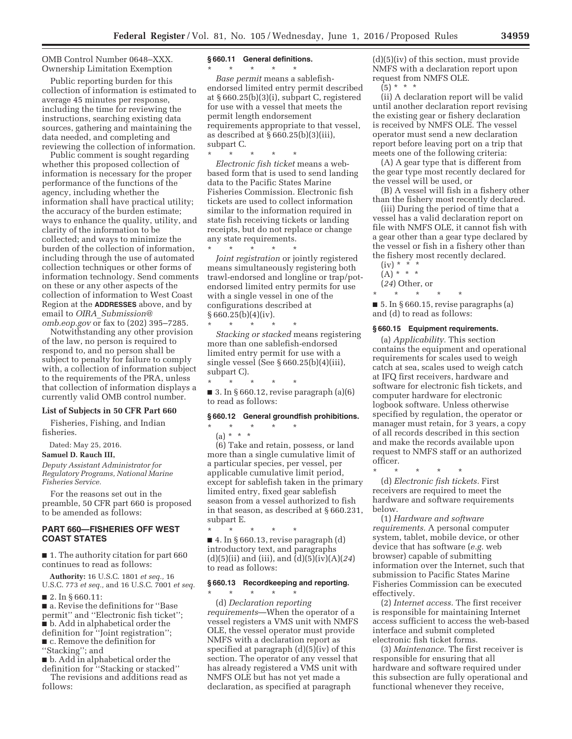OMB Control Number 0648–XXX. Ownership Limitation Exemption

Public reporting burden for this collection of information is estimated to average 45 minutes per response, including the time for reviewing the instructions, searching existing data sources, gathering and maintaining the data needed, and completing and reviewing the collection of information.

Public comment is sought regarding whether this proposed collection of information is necessary for the proper performance of the functions of the agency, including whether the information shall have practical utility; the accuracy of the burden estimate; ways to enhance the quality, utility, and clarity of the information to be collected; and ways to minimize the burden of the collection of information, including through the use of automated collection techniques or other forms of information technology. Send comments on these or any other aspects of the collection of information to West Coast Region at the **ADDRESSES** above, and by email to *OIRA*\_*Submission@ omb.eop.gov* or fax to (202) 395–7285.

Notwithstanding any other provision of the law, no person is required to respond to, and no person shall be subject to penalty for failure to comply with, a collection of information subject to the requirements of the PRA, unless that collection of information displays a currently valid OMB control number.

#### **List of Subjects in 50 CFR Part 660**

Fisheries, Fishing, and Indian fisheries.

Dated: May 25, 2016.

# **Samuel D. Rauch III,**

*Deputy Assistant Administrator for Regulatory Programs, National Marine Fisheries Service.* 

For the reasons set out in the preamble, 50 CFR part 660 is proposed to be amended as follows:

## **PART 660—FISHERIES OFF WEST COAST STATES**

■ 1. The authority citation for part 660 continues to read as follows:

**Authority:** 16 U.S.C. 1801 *et seq.,* 16 U.S.C. 773 *et seq.,* and 16 U.S.C. 7001 *et seq.* 

■ 2. In § 660.11:

■ a. Revise the definitions for ''Base permit'' and ''Electronic fish ticket''; ■ b. Add in alphabetical order the definition for ''Joint registration''; ■ c. Remove the definition for

''Stacking''; and

■ b. Add in alphabetical order the definition for ''Stacking or stacked''

The revisions and additions read as follows:

## **§ 660.11 General definitions.**

\* \* \* \* \* *Base permit* means a sablefishendorsed limited entry permit described at § 660.25(b)(3)(i), subpart C, registered for use with a vessel that meets the permit length endorsement requirements appropriate to that vessel, as described at § 660.25(b)(3)(iii), subpart C.

\* \* \* \* \* *Electronic fish ticket* means a webbased form that is used to send landing data to the Pacific States Marine Fisheries Commission. Electronic fish tickets are used to collect information similar to the information required in state fish receiving tickets or landing receipts, but do not replace or change any state requirements.

\* \* \* \* \* *Joint registration* or jointly registered means simultaneously registering both trawl-endorsed and longline or trap/potendorsed limited entry permits for use with a single vessel in one of the configurations described at  $§ 660.25(b)(4)(iv).$ 

\* \* \* \* \* *Stacking or stacked* means registering more than one sablefish-endorsed limited entry permit for use with a single vessel (See § 660.25(b)(4)(iii), subpart C).

\* \* \* \* \*  $\blacksquare$  3. In § 660.12, revise paragraph (a)(6) to read as follows:

#### **§ 660.12 General groundfish prohibitions.**

\* \* \* \* \* (a) \* \* \* (6) Take and retain, possess, or land more than a single cumulative limit of a particular species, per vessel, per applicable cumulative limit period, except for sablefish taken in the primary limited entry, fixed gear sablefish season from a vessel authorized to fish in that season, as described at § 660.231, subpart E.

\* \* \* \* \*  $\blacksquare$  4. In § 660.13, revise paragraph (d) introductory text, and paragraphs (d)(5)(ii) and (iii), and (d)(5)(iv)(A)(*24*) to read as follows:

## **§ 660.13 Recordkeeping and reporting.**

\* \* \* \* \*

(d) *Declaration reporting requirements*—When the operator of a vessel registers a VMS unit with NMFS OLE, the vessel operator must provide NMFS with a declaration report as specified at paragraph (d)(5)(iv) of this section. The operator of any vessel that has already registered a VMS unit with NMFS OLE but has not yet made a declaration, as specified at paragraph

(d)(5)(iv) of this section, must provide NMFS with a declaration report upon request from NMFS OLE.

 $(5) * * * *$ 

(ii) A declaration report will be valid until another declaration report revising the existing gear or fishery declaration is received by NMFS OLE. The vessel operator must send a new declaration report before leaving port on a trip that meets one of the following criteria:

(A) A gear type that is different from the gear type most recently declared for the vessel will be used, or

(B) A vessel will fish in a fishery other than the fishery most recently declared.

(iii) During the period of time that a vessel has a valid declaration report on file with NMFS OLE, it cannot fish with a gear other than a gear type declared by the vessel or fish in a fishery other than the fishery most recently declared.

 $(iv) * * * *$  $(A) * * * *$ 

(*24*) Other, or

\* \* \* \* \*  $\blacksquare$  5. In § 660.15, revise paragraphs (a) and (d) to read as follows:

## **§ 660.15 Equipment requirements.**

(a) *Applicability.* This section contains the equipment and operational requirements for scales used to weigh catch at sea, scales used to weigh catch at IFQ first receivers, hardware and software for electronic fish tickets, and computer hardware for electronic logbook software. Unless otherwise specified by regulation, the operator or manager must retain, for 3 years, a copy of all records described in this section and make the records available upon request to NMFS staff or an authorized officer.

\* \* \* \* \* (d) *Electronic fish tickets.* First receivers are required to meet the hardware and software requirements below.

(1) *Hardware and software requirements.* A personal computer system, tablet, mobile device, or other device that has software (*e.g.* web browser) capable of submitting information over the Internet, such that submission to Pacific States Marine Fisheries Commission can be executed effectively.

(2) *Internet access.* The first receiver is responsible for maintaining Internet access sufficient to access the web-based interface and submit completed electronic fish ticket forms.

(3) *Maintenance.* The first receiver is responsible for ensuring that all hardware and software required under this subsection are fully operational and functional whenever they receive,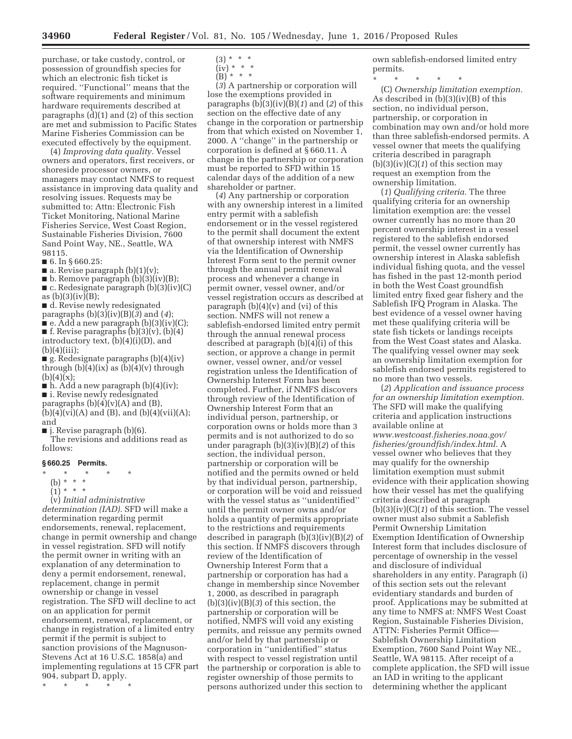purchase, or take custody, control, or possession of groundfish species for which an electronic fish ticket is required. ''Functional'' means that the software requirements and minimum hardware requirements described at paragraphs (d)(1) and (2) of this section are met and submission to Pacific States Marine Fisheries Commission can be executed effectively by the equipment.

(4) *Improving data quality.* Vessel owners and operators, first receivers, or shoreside processor owners, or managers may contact NMFS to request assistance in improving data quality and resolving issues. Requests may be submitted to: Attn: Electronic Fish Ticket Monitoring, National Marine Fisheries Service, West Coast Region, Sustainable Fisheries Division, 7600 Sand Point Way, NE., Seattle, WA 98115.

■ 6. In § 660.25:

 $\blacksquare$  a. Revise paragraph (b)(1)(v);

 $\blacksquare$  b. Remove paragraph (b)(3)(iv)(B);

■ c. Redesignate paragraph (b)(3)(iv)(C) as  $(b)(3)(iv)(B);$ 

■ d. Revise newly redesignated paragraphs (b)(3)(iv)(B)(*3*) and (*4*);  $\blacksquare$  e. Add a new paragraph (b)(3)(iv)(C);

 $\blacksquare$  f. Revise paragraphs  $(b)(3)(v)$ ,  $(b)(4)$ introductory text, (b)(4)(i)(D), and (b)(4)(iii);

■ g. Redesignate paragraphs (b)(4)(iv) through  $(b)(4)(ix)$  as  $(b)(4)(v)$  through  $(h)(4)(x)$ :

 $\blacksquare$  h. Add a new paragraph (b)(4)(iv); ■ i. Revise newly redesignated

paragraphs  $(b)(4)(v)(A)$  and  $(B)$ ,

 $(b)(4)(vi)(A)$  and  $(B)$ , and  $(b)(4)(vii)(A);$ and

 $\blacksquare$  j. Revise paragraph (b)(6).

The revisions and additions read as follows:

#### **§ 660.25 Permits.**

\* \* \* \* \*

(b) \* \* \*

- $(1)^*$  \* \* \*
- (v) *Initial administrative*

*determination (IAD).* SFD will make a determination regarding permit endorsements, renewal, replacement, change in permit ownership and change in vessel registration. SFD will notify the permit owner in writing with an explanation of any determination to deny a permit endorsement, renewal, replacement, change in permit ownership or change in vessel registration. The SFD will decline to act on an application for permit endorsement, renewal, replacement, or change in registration of a limited entry permit if the permit is subject to sanction provisions of the Magnuson-Stevens Act at 16 U.S.C. 1858(a) and implementing regulations at 15 CFR part 904, subpart D, apply.

\* \* \* \* \*

 $(3) * * * *$ 

(iv) \* \* \*

(B) \* \* \*

(*3*) A partnership or corporation will lose the exemptions provided in paragraphs (b)(3)(iv)(B)(*1*) and (*2*) of this section on the effective date of any change in the corporation or partnership from that which existed on November 1, 2000. A ''change'' in the partnership or corporation is defined at § 660.11. A change in the partnership or corporation must be reported to SFD within 15 calendar days of the addition of a new shareholder or partner.

(*4*) Any partnership or corporation with any ownership interest in a limited entry permit with a sablefish endorsement or in the vessel registered to the permit shall document the extent of that ownership interest with NMFS via the Identification of Ownership Interest Form sent to the permit owner through the annual permit renewal process and whenever a change in permit owner, vessel owner, and/or vessel registration occurs as described at paragraph  $(b)(4)(v)$  and  $(vi)$  of this section. NMFS will not renew a sablefish-endorsed limited entry permit through the annual renewal process described at paragraph (b)(4)(i) of this section, or approve a change in permit owner, vessel owner, and/or vessel registration unless the Identification of Ownership Interest Form has been completed. Further, if NMFS discovers through review of the Identification of Ownership Interest Form that an individual person, partnership, or corporation owns or holds more than 3 permits and is not authorized to do so under paragraph (b)(3)(iv)(B)(*2*) of this section, the individual person, partnership or corporation will be notified and the permits owned or held by that individual person, partnership, or corporation will be void and reissued with the vessel status as ''unidentified'' until the permit owner owns and/or holds a quantity of permits appropriate to the restrictions and requirements described in paragraph (b)(3)(iv)(B)(*2*) of this section. If NMFS discovers through review of the Identification of Ownership Interest Form that a partnership or corporation has had a change in membership since November 1, 2000, as described in paragraph (b)(3)(iv)(B)(*3*) of this section, the partnership or corporation will be notified, NMFS will void any existing permits, and reissue any permits owned and/or held by that partnership or corporation in ''unidentified'' status with respect to vessel registration until the partnership or corporation is able to register ownership of those permits to persons authorized under this section to

own sablefish-endorsed limited entry permits.

\* \* \* \* \* (C) *Ownership limitation exemption.*  As described in (b)(3)(iv)(B) of this section, no individual person, partnership, or corporation in combination may own and/or hold more than three sablefish-endorsed permits. A vessel owner that meets the qualifying criteria described in paragraph  $(b)(3)(iv)(C)(1)$  of this section may request an exemption from the

ownership limitation. (*1*) *Qualifying criteria.* The three qualifying criteria for an ownership limitation exemption are: the vessel owner currently has no more than 20 percent ownership interest in a vessel registered to the sablefish endorsed permit, the vessel owner currently has ownership interest in Alaska sablefish individual fishing quota, and the vessel has fished in the past 12-month period in both the West Coast groundfish limited entry fixed gear fishery and the Sablefish IFQ Program in Alaska. The best evidence of a vessel owner having met these qualifying criteria will be state fish tickets or landings receipts from the West Coast states and Alaska. The qualifying vessel owner may seek an ownership limitation exemption for sablefish endorsed permits registered to no more than two vessels.

(*2*) *Application and issuance process for an ownership limitation exemption.*  The SFD will make the qualifying criteria and application instructions available online at *www.westcoast.fisheries.noaa.gov/ fisheries/groundfish/index.html.* A vessel owner who believes that they may qualify for the ownership limitation exemption must submit evidence with their application showing how their vessel has met the qualifying criteria described at paragraph (b)(3)(iv)(C)(*1*) of this section. The vessel owner must also submit a Sablefish Permit Ownership Limitation Exemption Identification of Ownership Interest form that includes disclosure of percentage of ownership in the vessel and disclosure of individual shareholders in any entity. Paragraph (i) of this section sets out the relevant evidentiary standards and burden of proof. Applications may be submitted at any time to NMFS at: NMFS West Coast Region, Sustainable Fisheries Division, ATTN: Fisheries Permit Office— Sablefish Ownership Limitation Exemption, 7600 Sand Point Way NE., Seattle, WA 98115. After receipt of a complete application, the SFD will issue an IAD in writing to the applicant determining whether the applicant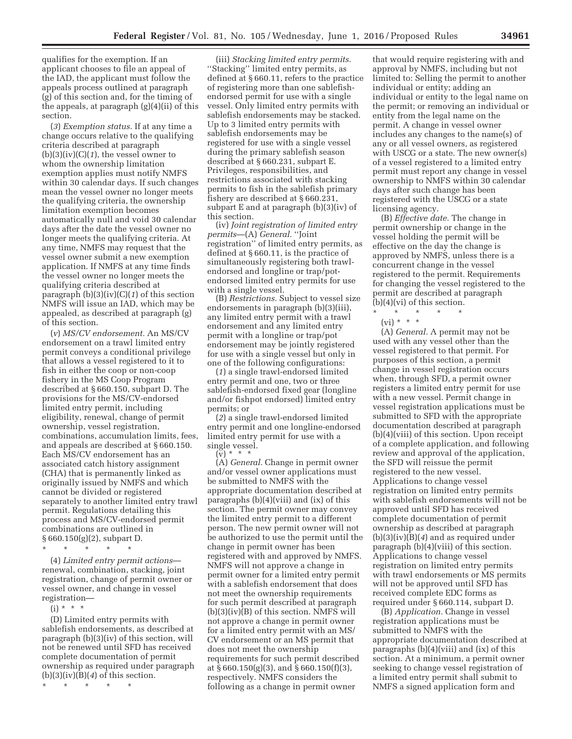qualifies for the exemption. If an applicant chooses to file an appeal of the IAD, the applicant must follow the appeals process outlined at paragraph (g) of this section and, for the timing of the appeals, at paragraph (g)(4)(ii) of this section.

(*3*) *Exemption status.* If at any time a change occurs relative to the qualifying criteria described at paragraph (b)(3)(iv)(C)(*1*), the vessel owner to whom the ownership limitation exemption applies must notify NMFS within 30 calendar days. If such changes mean the vessel owner no longer meets the qualifying criteria, the ownership limitation exemption becomes automatically null and void 30 calendar days after the date the vessel owner no longer meets the qualifying criteria. At any time, NMFS may request that the vessel owner submit a new exemption application. If NMFS at any time finds the vessel owner no longer meets the qualifying criteria described at paragraph (b)(3)(iv)(C)(*1*) of this section NMFS will issue an IAD, which may be appealed, as described at paragraph (g) of this section.

(*v*) *MS/CV endorsement.* An MS/CV endorsement on a trawl limited entry permit conveys a conditional privilege that allows a vessel registered to it to fish in either the coop or non-coop fishery in the MS Coop Program described at § 660.150, subpart D. The provisions for the MS/CV-endorsed limited entry permit, including eligibility, renewal, change of permit ownership, vessel registration, combinations, accumulation limits, fees, and appeals are described at § 660.150. Each MS/CV endorsement has an associated catch history assignment (CHA) that is permanently linked as originally issued by NMFS and which cannot be divided or registered separately to another limited entry trawl permit. Regulations detailing this process and MS/CV-endorsed permit combinations are outlined in § 660.150(g)(2), subpart D.

\* \* \* \* \*

(4) *Limited entry permit actions* renewal, combination, stacking, joint registration, change of permit owner or vessel owner, and change in vessel registration—

 $(i) * * * *$ 

(D) Limited entry permits with sablefish endorsements, as described at paragraph (b)(3)(iv) of this section, will not be renewed until SFD has received complete documentation of permit ownership as required under paragraph (b)(3)(iv)(B)(*4*) of this section.

\* \* \* \* \*

(iii) *Stacking limited entry permits.*  ''Stacking'' limited entry permits, as defined at § 660.11, refers to the practice of registering more than one sablefishendorsed permit for use with a single vessel. Only limited entry permits with sablefish endorsements may be stacked. Up to 3 limited entry permits with sablefish endorsements may be registered for use with a single vessel during the primary sablefish season described at § 660.231, subpart E. Privileges, responsibilities, and restrictions associated with stacking permits to fish in the sablefish primary fishery are described at § 660.231, subpart E and at paragraph (b)(3)(iv) of this section.

(iv) *Joint registration of limited entry permits*—(A) *General.* ''Joint registration'' of limited entry permits, as defined at § 660.11, is the practice of simultaneously registering both trawlendorsed and longline or trap/potendorsed limited entry permits for use with a single vessel.

(B) *Restrictions.* Subject to vessel size endorsements in paragraph (b)(3)(iii), any limited entry permit with a trawl endorsement and any limited entry permit with a longline or trap/pot endorsement may be jointly registered for use with a single vessel but only in one of the following configurations:

(*1*) a single trawl-endorsed limited entry permit and one, two or three sablefish-endorsed fixed gear (longline and/or fishpot endorsed) limited entry permits; or

(*2*) a single trawl-endorsed limited entry permit and one longline-endorsed limited entry permit for use with a single vessel.

 $(v) * * * *$ 

(A) *General.* Change in permit owner and/or vessel owner applications must be submitted to NMFS with the appropriate documentation described at paragraphs (b)(4)(viii) and (ix) of this section. The permit owner may convey the limited entry permit to a different person. The new permit owner will not be authorized to use the permit until the change in permit owner has been registered with and approved by NMFS. NMFS will not approve a change in permit owner for a limited entry permit with a sablefish endorsement that does not meet the ownership requirements for such permit described at paragraph (b)(3)(iv)(B) of this section. NMFS will not approve a change in permit owner for a limited entry permit with an MS/ CV endorsement or an MS permit that does not meet the ownership requirements for such permit described at § 660.150(g)(3), and § 660.150(f)(3), respectively. NMFS considers the following as a change in permit owner

that would require registering with and approval by NMFS, including but not limited to: Selling the permit to another individual or entity; adding an individual or entity to the legal name on the permit; or removing an individual or entity from the legal name on the permit. A change in vessel owner includes any changes to the name(s) of any or all vessel owners, as registered with USCG or a state. The new owner(s) of a vessel registered to a limited entry permit must report any change in vessel ownership to NMFS within 30 calendar days after such change has been registered with the USCG or a state licensing agency.

(B) *Effective date.* The change in permit ownership or change in the vessel holding the permit will be effective on the day the change is approved by NMFS, unless there is a concurrent change in the vessel registered to the permit. Requirements for changing the vessel registered to the permit are described at paragraph (b)(4)(vi) of this section.

\* \* \* \* \*

 $(vi) * * * *$ 

(A) *General.* A permit may not be used with any vessel other than the vessel registered to that permit. For purposes of this section, a permit change in vessel registration occurs when, through SFD, a permit owner registers a limited entry permit for use with a new vessel. Permit change in vessel registration applications must be submitted to SFD with the appropriate documentation described at paragraph (b)(4)(viii) of this section. Upon receipt of a complete application, and following review and approval of the application, the SFD will reissue the permit registered to the new vessel. Applications to change vessel registration on limited entry permits with sablefish endorsements will not be approved until SFD has received complete documentation of permit ownership as described at paragraph  $(b)(3)(iv)(B)(4)$  and as required under paragraph (b)(4)(viii) of this section. Applications to change vessel registration on limited entry permits with trawl endorsements or MS permits will not be approved until SFD has received complete EDC forms as required under § 660.114, subpart D.

(B) *Application.* Change in vessel registration applications must be submitted to NMFS with the appropriate documentation described at paragraphs (b)(4)(viii) and (ix) of this section. At a minimum, a permit owner seeking to change vessel registration of a limited entry permit shall submit to NMFS a signed application form and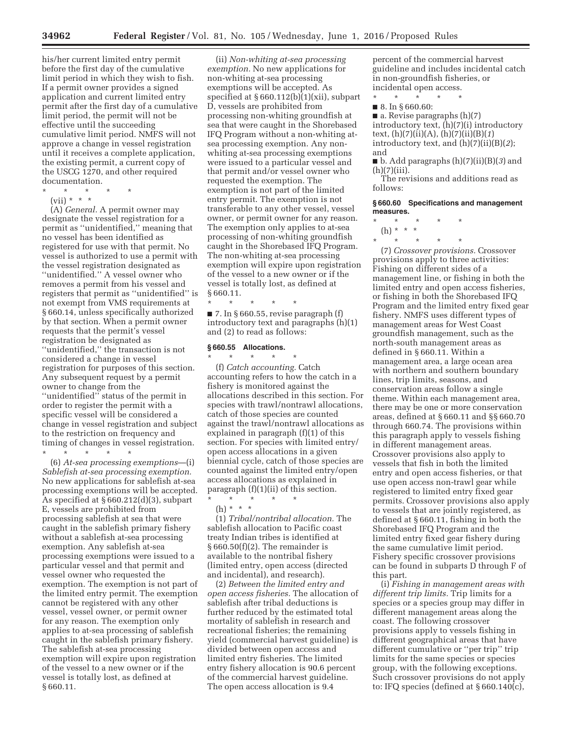his/her current limited entry permit before the first day of the cumulative limit period in which they wish to fish. If a permit owner provides a signed application and current limited entry permit after the first day of a cumulative limit period, the permit will not be effective until the succeeding cumulative limit period. NMFS will not approve a change in vessel registration until it receives a complete application, the existing permit, a current copy of the USCG 1270, and other required documentation.

- \* \* \* \* \*
- (vii) \* \* \*

(A) *General.* A permit owner may designate the vessel registration for a permit as ''unidentified,'' meaning that no vessel has been identified as registered for use with that permit. No vessel is authorized to use a permit with the vessel registration designated as ''unidentified.'' A vessel owner who removes a permit from his vessel and registers that permit as ''unidentified'' is not exempt from VMS requirements at § 660.14, unless specifically authorized by that section. When a permit owner requests that the permit's vessel registration be designated as ''unidentified,'' the transaction is not considered a change in vessel registration for purposes of this section. Any subsequent request by a permit owner to change from the ''unidentified'' status of the permit in order to register the permit with a specific vessel will be considered a change in vessel registration and subject to the restriction on frequency and timing of changes in vessel registration.

\* \* \* \* \* (6) *At-sea processing exemptions*—(i) *Sablefish at-sea processing exemption.*  No new applications for sablefish at-sea processing exemptions will be accepted. As specified at § 660.212(d)(3), subpart E, vessels are prohibited from processing sablefish at sea that were caught in the sablefish primary fishery without a sablefish at-sea processing exemption. Any sablefish at-sea processing exemptions were issued to a particular vessel and that permit and vessel owner who requested the exemption. The exemption is not part of the limited entry permit. The exemption cannot be registered with any other vessel, vessel owner, or permit owner for any reason. The exemption only applies to at-sea processing of sablefish caught in the sablefish primary fishery. The sablefish at-sea processing exemption will expire upon registration of the vessel to a new owner or if the vessel is totally lost, as defined at § 660.11.

(ii) *Non-whiting at-sea processing exemption.* No new applications for non-whiting at-sea processing exemptions will be accepted. As specified at § 660.112(b)(1)(xii), subpart D, vessels are prohibited from processing non-whiting groundfish at sea that were caught in the Shorebased IFQ Program without a non-whiting atsea processing exemption. Any nonwhiting at-sea processing exemptions were issued to a particular vessel and that permit and/or vessel owner who requested the exemption. The exemption is not part of the limited entry permit. The exemption is not transferable to any other vessel, vessel owner, or permit owner for any reason. The exemption only applies to at-sea processing of non-whiting groundfish caught in the Shorebased IFQ Program. The non-whiting at-sea processing exemption will expire upon registration of the vessel to a new owner or if the vessel is totally lost, as defined at § 660.11.

■ 7. In § 660.55, revise paragraph (f) introductory text and paragraphs (h)(1) and (2) to read as follows:

\* \* \* \* \*

#### **§ 660.55 Allocations.**  \* \* \* \* \*

(f) *Catch accounting.* Catch accounting refers to how the catch in a fishery is monitored against the allocations described in this section. For species with trawl/nontrawl allocations, catch of those species are counted against the trawl/nontrawl allocations as explained in paragraph (f)(1) of this section. For species with limited entry/ open access allocations in a given biennial cycle, catch of those species are counted against the limited entry/open access allocations as explained in paragraph (f)(1)(ii) of this section.  $\star$   $\qquad$   $\star$   $\qquad$   $\star$ 

(h) \* \* \*

(1) *Tribal/nontribal allocation.* The sablefish allocation to Pacific coast treaty Indian tribes is identified at § 660.50(f)(2). The remainder is available to the nontribal fishery (limited entry, open access (directed and incidental), and research).

(2) *Between the limited entry and open access fisheries.* The allocation of sablefish after tribal deductions is further reduced by the estimated total mortality of sablefish in research and recreational fisheries; the remaining yield (commercial harvest guideline) is divided between open access and limited entry fisheries. The limited entry fishery allocation is 90.6 percent of the commercial harvest guideline. The open access allocation is 9.4

percent of the commercial harvest guideline and includes incidental catch in non-groundfish fisheries, or incidental open access.

- \* \* \* \* \* ■ 8. In § 660.60:
- a. Revise paragraphs (h)(7)

introductory text, (h)(7)(i) introductory text, (h)(7)(ii)(A), (h)(7)(ii)(B)(*1*) introductory text, and (h)(7)(ii)(B)(*2*); and

■ b. Add paragraphs (h)(7)(ii)(B)(*3*) and  $(h)(7)(iii)$ .

The revisions and additions read as follows:

## **§ 660.60 Specifications and management measures.**

- \* \* \* \* \* (h) \* \* \*
- \* \* \* \* \*

(7) *Crossover provisions.* Crossover provisions apply to three activities: Fishing on different sides of a management line, or fishing in both the limited entry and open access fisheries, or fishing in both the Shorebased IFQ Program and the limited entry fixed gear fishery. NMFS uses different types of management areas for West Coast groundfish management, such as the north-south management areas as defined in § 660.11. Within a management area, a large ocean area with northern and southern boundary lines, trip limits, seasons, and conservation areas follow a single theme. Within each management area, there may be one or more conservation areas, defined at § 660.11 and §§ 660.70 through 660.74. The provisions within this paragraph apply to vessels fishing in different management areas. Crossover provisions also apply to vessels that fish in both the limited entry and open access fisheries, or that use open access non-trawl gear while registered to limited entry fixed gear permits. Crossover provisions also apply to vessels that are jointly registered, as defined at § 660.11, fishing in both the Shorebased IFQ Program and the limited entry fixed gear fishery during the same cumulative limit period. Fishery specific crossover provisions can be found in subparts D through F of this part.

(i) *Fishing in management areas with different trip limits.* Trip limits for a species or a species group may differ in different management areas along the coast. The following crossover provisions apply to vessels fishing in different geographical areas that have different cumulative or ''per trip'' trip limits for the same species or species group, with the following exceptions. Such crossover provisions do not apply to: IFQ species (defined at § 660.140(c),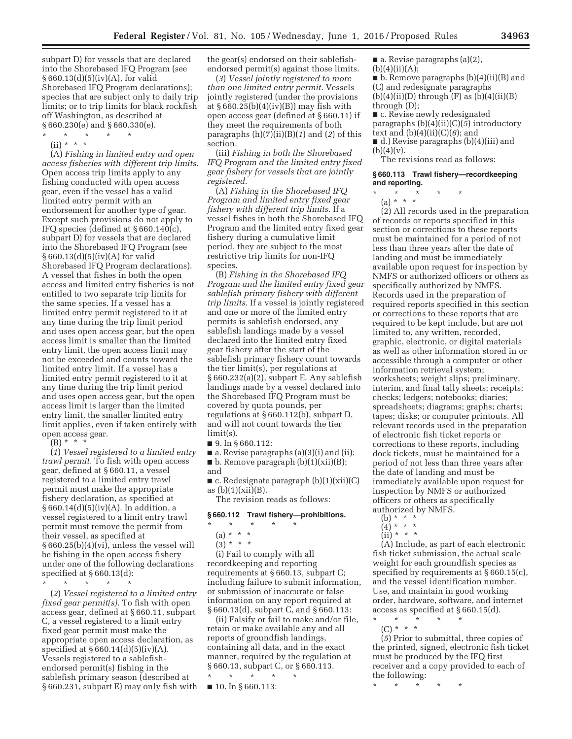subpart D) for vessels that are declared into the Shorebased IFQ Program (see § 660.13(d)(5)(iv)(A), for valid Shorebased IFQ Program declarations); species that are subject only to daily trip limits; or to trip limits for black rockfish off Washington, as described at § 660.230(e) and § 660.330(e).

- \* \* \* \* \*
	- (ii) \* \* \*

(A) *Fishing in limited entry and open access fisheries with different trip limits.*  Open access trip limits apply to any fishing conducted with open access gear, even if the vessel has a valid limited entry permit with an endorsement for another type of gear. Except such provisions do not apply to IFQ species (defined at § 660.140(c), subpart D) for vessels that are declared into the Shorebased IFQ Program (see § 660.13(d)(5)(iv)(A) for valid Shorebased IFQ Program declarations). A vessel that fishes in both the open access and limited entry fisheries is not entitled to two separate trip limits for the same species. If a vessel has a limited entry permit registered to it at any time during the trip limit period and uses open access gear, but the open access limit is smaller than the limited entry limit, the open access limit may not be exceeded and counts toward the limited entry limit. If a vessel has a limited entry permit registered to it at any time during the trip limit period and uses open access gear, but the open access limit is larger than the limited entry limit, the smaller limited entry limit applies, even if taken entirely with open access gear.

 $(B) * * * *$ 

(*1*) *Vessel registered to a limited entry trawl permit.* To fish with open access gear, defined at § 660.11, a vessel registered to a limited entry trawl permit must make the appropriate fishery declaration, as specified at § 660.14(d)(5)(iv)(A). In addition, a vessel registered to a limit entry trawl permit must remove the permit from their vessel, as specified at § 660.25(b)(4)(vi), unless the vessel will be fishing in the open access fishery under one of the following declarations specified at § 660.13(d):

\* \* \* \* \*

(*2*) *Vessel registered to a limited entry fixed gear permit(s).* To fish with open access gear, defined at § 660.11, subpart C, a vessel registered to a limit entry fixed gear permit must make the appropriate open access declaration, as specified at  $\S 660.14(d)(5)(iv)(A)$ . Vessels registered to a sablefishendorsed permit(s) fishing in the sablefish primary season (described at § 660.231, subpart E) may only fish with the gear(s) endorsed on their sablefishendorsed permit(s) against those limits.

(*3*) *Vessel jointly registered to more than one limited entry permit.* Vessels jointly registered (under the provisions at  $§ 660.25(b)(4)(iv)(B))$  may fish with open access gear (defined at § 660.11) if they meet the requirements of both paragraphs (h)(7)(ii)(B)(*1*) and (*2*) of this section.

(iii) *Fishing in both the Shorebased IFQ Program and the limited entry fixed gear fishery for vessels that are jointly registered.* 

(A) *Fishing in the Shorebased IFQ Program and limited entry fixed gear fishery with different trip limits.* If a vessel fishes in both the Shorebased IFQ Program and the limited entry fixed gear fishery during a cumulative limit period, they are subject to the most restrictive trip limits for non-IFQ species.

(B) *Fishing in the Shorebased IFQ Program and the limited entry fixed gear sablefish primary fishery with different trip limits.* If a vessel is jointly registered and one or more of the limited entry permits is sablefish endorsed, any sablefish landings made by a vessel declared into the limited entry fixed gear fishery after the start of the sablefish primary fishery count towards the tier limit(s), per regulations at § 660.232(a)(2), subpart E. Any sablefish landings made by a vessel declared into the Shorebased IFQ Program must be covered by quota pounds, per regulations at § 660.112(b), subpart D, and will not count towards the tier limit(s).

■ 9. In § 660.112:

 $\blacksquare$  a. Revise paragraphs (a)(3)(i) and (ii);

 $\blacksquare$  b. Remove paragraph (b)(1)(xii)(B); and

 $\blacksquare$  c. Redesignate paragraph  $(b)(1)(xii)(C)$ as  $(b)(1)(xii)(B)$ .

The revision reads as follows:

### **§ 660.112 Trawl fishery—prohibitions.**

- $\star$   $\qquad$   $\star$   $\qquad$   $\star$
- (a) \* \* \* \*  $\left( \right.$
- $(3) * * * *$

(i) Fail to comply with all recordkeeping and reporting requirements at § 660.13, subpart C; including failure to submit information, or submission of inaccurate or false information on any report required at § 660.13(d), subpart C, and § 660.113:

(ii) Falsify or fail to make and/or file, retain or make available any and all reports of groundfish landings, containing all data, and in the exact manner, required by the regulation at § 660.13, subpart C, or § 660.113.

\* \* \* \* \* ■ 10. In § 660.113:

 $\blacksquare$  a. Revise paragraphs (a)(2),  $(b)(4)(ii)(A);$ 

■ b. Remove paragraphs (b)(4)(ii)(B) and (C) and redesignate paragraphs  $(b)(4)(ii)(D)$  through  $(F)$  as  $(b)(4)(ii)(B)$ through (D);

■ c. Revise newly redesignated paragraphs (b)(4)(ii)(C)(*5*) introductory text and  $(b)(4)(ii)(C)(6)$ ; and

■ d.) Revise paragraphs (b)(4)(iii) and  $(b)(4)(v)$ .

The revisions read as follows:

### **§ 660.113 Trawl fishery—recordkeeping and reporting.**

\* \* \* \* \*  $(a) * * * *$ 

(2) All records used in the preparation of records or reports specified in this section or corrections to these reports must be maintained for a period of not less than three years after the date of landing and must be immediately available upon request for inspection by NMFS or authorized officers or others as specifically authorized by NMFS. Records used in the preparation of required reports specified in this section or corrections to these reports that are required to be kept include, but are not limited to, any written, recorded, graphic, electronic, or digital materials as well as other information stored in or accessible through a computer or other information retrieval system; worksheets; weight slips; preliminary, interim, and final tally sheets; receipts; checks; ledgers; notebooks; diaries; spreadsheets; diagrams; graphs; charts; tapes; disks; or computer printouts. All relevant records used in the preparation of electronic fish ticket reports or corrections to these reports, including dock tickets, must be maintained for a period of not less than three years after the date of landing and must be immediately available upon request for inspection by NMFS or authorized officers or others as specifically authorized by NMFS.

(b) \* \* \*

 $(ii) * * * *$ 

(A) Include, as part of each electronic fish ticket submission, the actual scale weight for each groundfish species as specified by requirements at § 660.15(c), and the vessel identification number. Use, and maintain in good working order, hardware, software, and internet access as specified at § 660.15(d).

\* \* \* \* \* (C) \* \* \*

(*5*) Prior to submittal, three copies of the printed, signed, electronic fish ticket must be produced by the IFQ first receiver and a copy provided to each of the following:

\* \* \* \* \*

<sup>(4) \* \* \*</sup>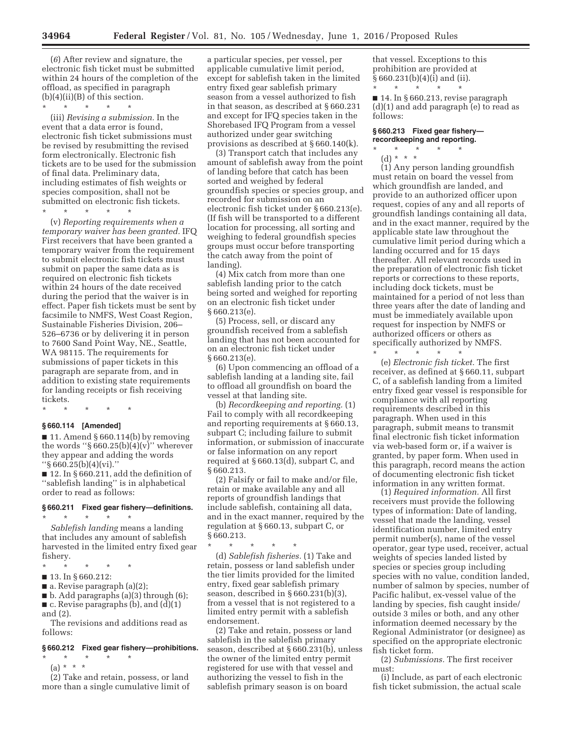(*6*) After review and signature, the electronic fish ticket must be submitted within 24 hours of the completion of the offload, as specified in paragraph  $(b)(4)(ii)(B)$  of this section. \* \* \* \* \*

(iii) *Revising a submission.* In the event that a data error is found, electronic fish ticket submissions must be revised by resubmitting the revised form electronically. Electronic fish tickets are to be used for the submission of final data. Preliminary data, including estimates of fish weights or species composition, shall not be submitted on electronic fish tickets.

 $\star$   $\quad$   $\star$   $\quad$   $\star$   $\quad$   $\star$ 

(v) *Reporting requirements when a temporary waiver has been granted.* IFQ First receivers that have been granted a temporary waiver from the requirement to submit electronic fish tickets must submit on paper the same data as is required on electronic fish tickets within 24 hours of the date received during the period that the waiver is in effect. Paper fish tickets must be sent by facsimile to NMFS, West Coast Region, Sustainable Fisheries Division, 206– 526–6736 or by delivering it in person to 7600 Sand Point Way, NE., Seattle, WA 98115. The requirements for submissions of paper tickets in this paragraph are separate from, and in addition to existing state requirements for landing receipts or fish receiving tickets.

\* \* \* \* \*

# **§ 660.114 [Amended]**

 $\blacksquare$  11. Amend § 660.114(b) by removing the words " $\S 660.25(b)(4)(v)$ " wherever they appear and adding the words ''§ 660.25(b)(4)(vi).''

■ 12. In § 660.211, add the definition of ''sablefish landing'' is in alphabetical order to read as follows:

#### **§ 660.211 Fixed gear fishery—definitions.**   $\star$   $\star$   $\star$

*Sablefish landing* means a landing that includes any amount of sablefish harvested in the limited entry fixed gear fishery.

- \* \* \* \* \*
- 13. In § 660.212:
- $\blacksquare$  a. Revise paragraph (a)(2);

■ b. Add paragraphs (a)(3) through (6);  $\blacksquare$  c. Revise paragraphs (b), and (d)(1) and (2).

The revisions and additions read as follows:

## **§ 660.212 Fixed gear fishery—prohibitions.**

\* \* \* \* \*

(a) \* \* \*

(2) Take and retain, possess, or land more than a single cumulative limit of a particular species, per vessel, per applicable cumulative limit period, except for sablefish taken in the limited entry fixed gear sablefish primary season from a vessel authorized to fish in that season, as described at § 660.231 and except for IFQ species taken in the Shorebased IFQ Program from a vessel authorized under gear switching provisions as described at § 660.140(k).

(3) Transport catch that includes any amount of sablefish away from the point of landing before that catch has been sorted and weighed by federal groundfish species or species group, and recorded for submission on an electronic fish ticket under § 660.213(e). (If fish will be transported to a different location for processing, all sorting and weighing to federal groundfish species groups must occur before transporting the catch away from the point of landing).

(4) Mix catch from more than one sablefish landing prior to the catch being sorted and weighed for reporting on an electronic fish ticket under § 660.213(e).

(5) Process, sell, or discard any groundfish received from a sablefish landing that has not been accounted for on an electronic fish ticket under § 660.213(e).

(6) Upon commencing an offload of a sablefish landing at a landing site, fail to offload all groundfish on board the vessel at that landing site.

(b) *Recordkeeping and reporting.* (1) Fail to comply with all recordkeeping and reporting requirements at § 660.13, subpart C; including failure to submit information, or submission of inaccurate or false information on any report required at § 660.13(d), subpart C, and § 660.213.

(2) Falsify or fail to make and/or file, retain or make available any and all reports of groundfish landings that include sablefish, containing all data, and in the exact manner, required by the regulation at § 660.13, subpart C, or § 660.213.

\* \* \* \* \*

(d) *Sablefish fisheries.* (1) Take and retain, possess or land sablefish under the tier limits provided for the limited entry, fixed gear sablefish primary season, described in § 660.231(b)(3), from a vessel that is not registered to a limited entry permit with a sablefish endorsement.

(2) Take and retain, possess or land sablefish in the sablefish primary season, described at § 660.231(b), unless the owner of the limited entry permit registered for use with that vessel and authorizing the vessel to fish in the sablefish primary season is on board

that vessel. Exceptions to this prohibition are provided at § 660.231(b)(4)(i) and (ii).  $\star$   $\star$   $\star$ 

■ 14. In § 660.213, revise paragraph (d)(1) and add paragraph (e) to read as follows:

## **§ 660.213 Fixed gear fishery recordkeeping and reporting.**

# $\star$   $\qquad$   $\star$   $\qquad$   $\star$ (d) \* \* \*

(1) Any person landing groundfish must retain on board the vessel from which groundfish are landed, and provide to an authorized officer upon request, copies of any and all reports of groundfish landings containing all data, and in the exact manner, required by the applicable state law throughout the cumulative limit period during which a landing occurred and for 15 days thereafter. All relevant records used in the preparation of electronic fish ticket reports or corrections to these reports, including dock tickets, must be maintained for a period of not less than three years after the date of landing and must be immediately available upon request for inspection by NMFS or authorized officers or others as specifically authorized by NMFS. \* \* \* \* \*

(e) *Electronic fish ticket.* The first receiver, as defined at § 660.11, subpart C, of a sablefish landing from a limited entry fixed gear vessel is responsible for compliance with all reporting requirements described in this paragraph. When used in this paragraph, submit means to transmit final electronic fish ticket information via web-based form or, if a waiver is granted, by paper form. When used in this paragraph, record means the action of documenting electronic fish ticket information in any written format.

(1) *Required information.* All first receivers must provide the following types of information: Date of landing, vessel that made the landing, vessel identification number, limited entry permit number(s), name of the vessel operator, gear type used, receiver, actual weights of species landed listed by species or species group including species with no value, condition landed, number of salmon by species, number of Pacific halibut, ex-vessel value of the landing by species, fish caught inside/ outside 3 miles or both, and any other information deemed necessary by the Regional Administrator (or designee) as specified on the appropriate electronic fish ticket form.

(2) *Submissions.* The first receiver must:

(i) Include, as part of each electronic fish ticket submission, the actual scale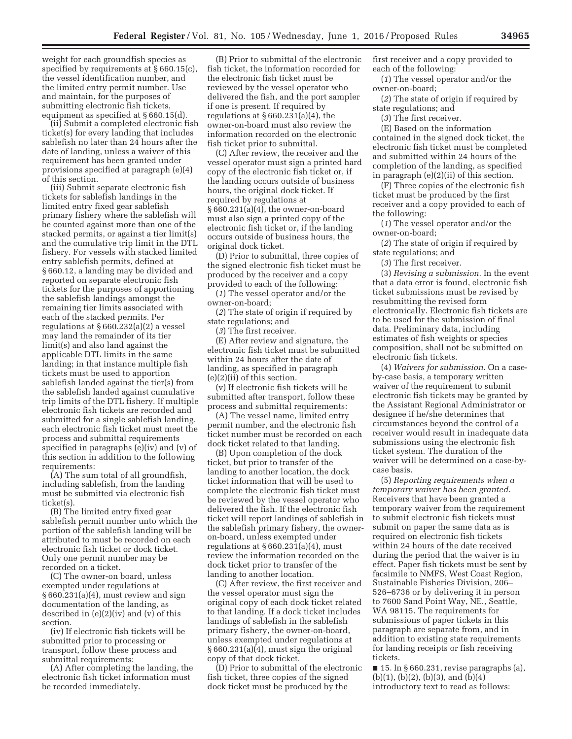weight for each groundfish species as specified by requirements at § 660.15(c), the vessel identification number, and the limited entry permit number. Use and maintain, for the purposes of submitting electronic fish tickets, equipment as specified at § 660.15(d).

(ii) Submit a completed electronic fish ticket(s) for every landing that includes sablefish no later than 24 hours after the date of landing, unless a waiver of this requirement has been granted under provisions specified at paragraph (e)(4) of this section.

(iii) Submit separate electronic fish tickets for sablefish landings in the limited entry fixed gear sablefish primary fishery where the sablefish will be counted against more than one of the stacked permits, or against a tier limit(s) and the cumulative trip limit in the DTL fishery. For vessels with stacked limited entry sablefish permits, defined at § 660.12, a landing may be divided and reported on separate electronic fish tickets for the purposes of apportioning the sablefish landings amongst the remaining tier limits associated with each of the stacked permits. Per regulations at § 660.232(a)(2) a vessel may land the remainder of its tier limit(s) and also land against the applicable DTL limits in the same landing; in that instance multiple fish tickets must be used to apportion sablefish landed against the tier(s) from the sablefish landed against cumulative trip limits of the DTL fishery. If multiple electronic fish tickets are recorded and submitted for a single sablefish landing, each electronic fish ticket must meet the process and submittal requirements specified in paragraphs (e)(iv) and (v) of this section in addition to the following requirements:

(A) The sum total of all groundfish, including sablefish, from the landing must be submitted via electronic fish ticket(s).

(B) The limited entry fixed gear sablefish permit number unto which the portion of the sablefish landing will be attributed to must be recorded on each electronic fish ticket or dock ticket. Only one permit number may be recorded on a ticket.

(C) The owner-on board, unless exempted under regulations at § 660.231(a)(4), must review and sign documentation of the landing, as described in (e)(2)(iv) and (v) of this section.

(iv) If electronic fish tickets will be submitted prior to processing or transport, follow these process and submittal requirements:

(A) After completing the landing, the electronic fish ticket information must be recorded immediately.

(B) Prior to submittal of the electronic fish ticket, the information recorded for the electronic fish ticket must be reviewed by the vessel operator who delivered the fish, and the port sampler if one is present. If required by regulations at § 660.231(a)(4), the owner-on-board must also review the information recorded on the electronic fish ticket prior to submittal.

(C) After review, the receiver and the vessel operator must sign a printed hard copy of the electronic fish ticket or, if the landing occurs outside of business hours, the original dock ticket. If required by regulations at § 660.231(a)(4), the owner-on-board must also sign a printed copy of the electronic fish ticket or, if the landing occurs outside of business hours, the original dock ticket.

(D) Prior to submittal, three copies of the signed electronic fish ticket must be produced by the receiver and a copy provided to each of the following:

(*1*) The vessel operator and/or the owner-on-board;

(*2*) The state of origin if required by state regulations; and

(*3*) The first receiver.

(E) After review and signature, the electronic fish ticket must be submitted within 24 hours after the date of landing, as specified in paragraph (e)(2)(ii) of this section.

(v) If electronic fish tickets will be submitted after transport, follow these process and submittal requirements:

(A) The vessel name, limited entry permit number, and the electronic fish ticket number must be recorded on each dock ticket related to that landing.

(B) Upon completion of the dock ticket, but prior to transfer of the landing to another location, the dock ticket information that will be used to complete the electronic fish ticket must be reviewed by the vessel operator who delivered the fish. If the electronic fish ticket will report landings of sablefish in the sablefish primary fishery, the owneron-board, unless exempted under regulations at  $§ 660.231(a)(4)$ , must review the information recorded on the dock ticket prior to transfer of the landing to another location.

(C) After review, the first receiver and the vessel operator must sign the original copy of each dock ticket related to that landing. If a dock ticket includes landings of sablefish in the sablefish primary fishery, the owner-on-board, unless exempted under regulations at § 660.231(a)(4), must sign the original copy of that dock ticket.

(D) Prior to submittal of the electronic fish ticket, three copies of the signed dock ticket must be produced by the

first receiver and a copy provided to each of the following:

(*1*) The vessel operator and/or the owner-on-board;

(*2*) The state of origin if required by state regulations; and

(*3*) The first receiver.

(E) Based on the information contained in the signed dock ticket, the electronic fish ticket must be completed and submitted within 24 hours of the completion of the landing, as specified in paragraph (e)(2)(ii) of this section.

(F) Three copies of the electronic fish ticket must be produced by the first receiver and a copy provided to each of the following:

(*1*) The vessel operator and/or the owner-on-board;

(*2*) The state of origin if required by state regulations; and

(*3*) The first receiver.

(3) *Revising a submission.* In the event that a data error is found, electronic fish ticket submissions must be revised by resubmitting the revised form electronically. Electronic fish tickets are to be used for the submission of final data. Preliminary data, including estimates of fish weights or species composition, shall not be submitted on electronic fish tickets.

(4) *Waivers for submission.* On a caseby-case basis, a temporary written waiver of the requirement to submit electronic fish tickets may be granted by the Assistant Regional Administrator or designee if he/she determines that circumstances beyond the control of a receiver would result in inadequate data submissions using the electronic fish ticket system. The duration of the waiver will be determined on a case-bycase basis.

(5) *Reporting requirements when a temporary waiver has been granted.*  Receivers that have been granted a temporary waiver from the requirement to submit electronic fish tickets must submit on paper the same data as is required on electronic fish tickets within 24 hours of the date received during the period that the waiver is in effect. Paper fish tickets must be sent by facsimile to NMFS, West Coast Region, Sustainable Fisheries Division, 206– 526–6736 or by delivering it in person to 7600 Sand Point Way, NE., Seattle, WA 98115. The requirements for submissions of paper tickets in this paragraph are separate from, and in addition to existing state requirements for landing receipts or fish receiving tickets.

 $\blacksquare$  15. In § 660.231, revise paragraphs (a),  $(b)(1)$ ,  $(b)(2)$ ,  $(b)(3)$ , and  $(b)(4)$ introductory text to read as follows: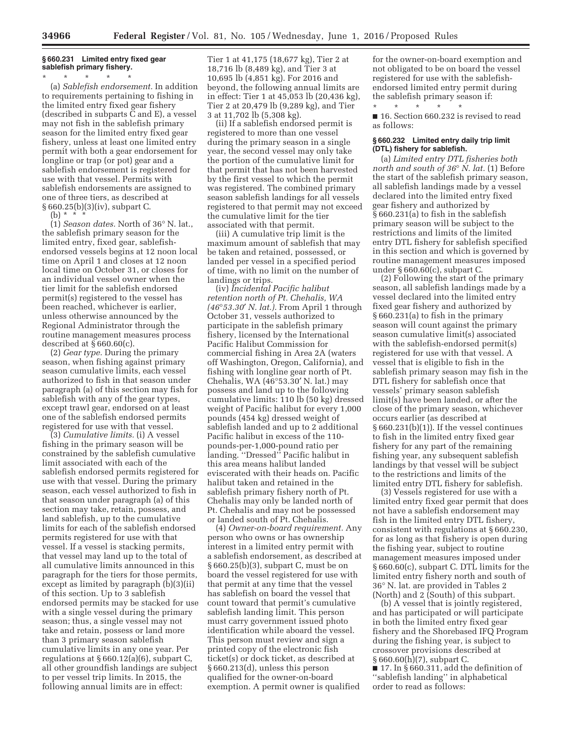## **§ 660.231 Limited entry fixed gear sablefish primary fishery.**

\* \* \* \* \* (a) *Sablefish endorsement.* In addition to requirements pertaining to fishing in the limited entry fixed gear fishery (described in subparts C and E), a vessel may not fish in the sablefish primary season for the limited entry fixed gear fishery, unless at least one limited entry permit with both a gear endorsement for longline or trap (or pot) gear and a sablefish endorsement is registered for use with that vessel. Permits with sablefish endorsements are assigned to one of three tiers, as described at § 660.25(b)(3)(iv), subpart C.

(b)  $* \rightarrow$ 

(1) *Season dates.* North of 36° N. lat., the sablefish primary season for the limited entry, fixed gear, sablefishendorsed vessels begins at 12 noon local time on April 1 and closes at 12 noon local time on October 31, or closes for an individual vessel owner when the tier limit for the sablefish endorsed permit(s) registered to the vessel has been reached, whichever is earlier, unless otherwise announced by the Regional Administrator through the routine management measures process described at  $\S 660.60(c)$ .

(2) *Gear type.* During the primary season, when fishing against primary season cumulative limits, each vessel authorized to fish in that season under paragraph (a) of this section may fish for sablefish with any of the gear types, except trawl gear, endorsed on at least one of the sablefish endorsed permits registered for use with that vessel.

(3) *Cumulative limits.* (i) A vessel fishing in the primary season will be constrained by the sablefish cumulative limit associated with each of the sablefish endorsed permits registered for use with that vessel. During the primary season, each vessel authorized to fish in that season under paragraph (a) of this section may take, retain, possess, and land sablefish, up to the cumulative limits for each of the sablefish endorsed permits registered for use with that vessel. If a vessel is stacking permits, that vessel may land up to the total of all cumulative limits announced in this paragraph for the tiers for those permits, except as limited by paragraph (b)(3)(ii) of this section. Up to 3 sablefish endorsed permits may be stacked for use with a single vessel during the primary season; thus, a single vessel may not take and retain, possess or land more than 3 primary season sablefish cumulative limits in any one year. Per regulations at § 660.12(a)(6), subpart C, all other groundfish landings are subject to per vessel trip limits. In 2015, the following annual limits are in effect:

Tier 1 at 41,175 (18,677 kg), Tier 2 at 18,716 lb (8,489 kg), and Tier 3 at 10,695 lb (4,851 kg). For 2016 and beyond, the following annual limits are in effect: Tier 1 at 45,053 lb (20,436 kg), Tier 2 at 20,479 lb (9,289 kg), and Tier 3 at 11,702 lb (5,308 kg).

(ii) If a sablefish endorsed permit is registered to more than one vessel during the primary season in a single year, the second vessel may only take the portion of the cumulative limit for that permit that has not been harvested by the first vessel to which the permit was registered. The combined primary season sablefish landings for all vessels registered to that permit may not exceed the cumulative limit for the tier associated with that permit.

(iii) A cumulative trip limit is the maximum amount of sablefish that may be taken and retained, possessed, or landed per vessel in a specified period of time, with no limit on the number of landings or trips.

(iv) *Incidental Pacific halibut retention north of Pt. Chehalis, WA (46*°*53.30*′ *N. lat.).* From April 1 through October 31, vessels authorized to participate in the sablefish primary fishery, licensed by the International Pacific Halibut Commission for commercial fishing in Area 2A (waters off Washington, Oregon, California), and fishing with longline gear north of Pt. Chehalis, WA (46°53.30′ N. lat.) may possess and land up to the following cumulative limits: 110 lb (50 kg) dressed weight of Pacific halibut for every 1,000 pounds (454 kg) dressed weight of sablefish landed and up to 2 additional Pacific halibut in excess of the 110 pounds-per-1,000-pound ratio per landing. ''Dressed'' Pacific halibut in this area means halibut landed eviscerated with their heads on. Pacific halibut taken and retained in the sablefish primary fishery north of Pt. Chehalis may only be landed north of Pt. Chehalis and may not be possessed or landed south of Pt. Chehalis.

(4) *Owner-on-board requirement.* Any person who owns or has ownership interest in a limited entry permit with a sablefish endorsement, as described at § 660.25(b)(3), subpart C, must be on board the vessel registered for use with that permit at any time that the vessel has sablefish on board the vessel that count toward that permit's cumulative sablefish landing limit. This person must carry government issued photo identification while aboard the vessel. This person must review and sign a printed copy of the electronic fish ticket(s) or dock ticket, as described at § 660.213(d), unless this person qualified for the owner-on-board exemption. A permit owner is qualified

for the owner-on-board exemption and not obligated to be on board the vessel registered for use with the sablefishendorsed limited entry permit during the sablefish primary season if:<br> $\begin{array}{c} \star \end{array}$   $\begin{array}{c} \star \end{array}$   $\begin{array}{c} \star \end{array}$ \* \* \* \* \*

■ 16. Section 660.232 is revised to read as follows:

#### **§ 660.232 Limited entry daily trip limit (DTL) fishery for sablefish.**

(a) *Limited entry DTL fisheries both north and south of 36*° *N. lat.* (1) Before the start of the sablefish primary season, all sablefish landings made by a vessel declared into the limited entry fixed gear fishery and authorized by § 660.231(a) to fish in the sablefish primary season will be subject to the restrictions and limits of the limited entry DTL fishery for sablefish specified in this section and which is governed by routine management measures imposed under § 660.60(c), subpart C.

(2) Following the start of the primary season, all sablefish landings made by a vessel declared into the limited entry fixed gear fishery and authorized by § 660.231(a) to fish in the primary season will count against the primary season cumulative limit(s) associated with the sablefish-endorsed permit(s) registered for use with that vessel. A vessel that is eligible to fish in the sablefish primary season may fish in the DTL fishery for sablefish once that vessels' primary season sablefish limit(s) have been landed, or after the close of the primary season, whichever occurs earlier (as described at § 660.231(b)(1)). If the vessel continues to fish in the limited entry fixed gear fishery for any part of the remaining fishing year, any subsequent sablefish landings by that vessel will be subject to the restrictions and limits of the limited entry DTL fishery for sablefish.

(3) Vessels registered for use with a limited entry fixed gear permit that does not have a sablefish endorsement may fish in the limited entry DTL fishery, consistent with regulations at § 660.230, for as long as that fishery is open during the fishing year, subject to routine management measures imposed under § 660.60(c), subpart C. DTL limits for the limited entry fishery north and south of 36° N. lat. are provided in Tables 2 (North) and 2 (South) of this subpart.

(b) A vessel that is jointly registered, and has participated or will participate in both the limited entry fixed gear fishery and the Shorebased IFQ Program during the fishing year, is subject to crossover provisions described at § 660.60(h)(7), subpart C.

■ 17. In § 660.311, add the definition of ''sablefish landing'' in alphabetical order to read as follows: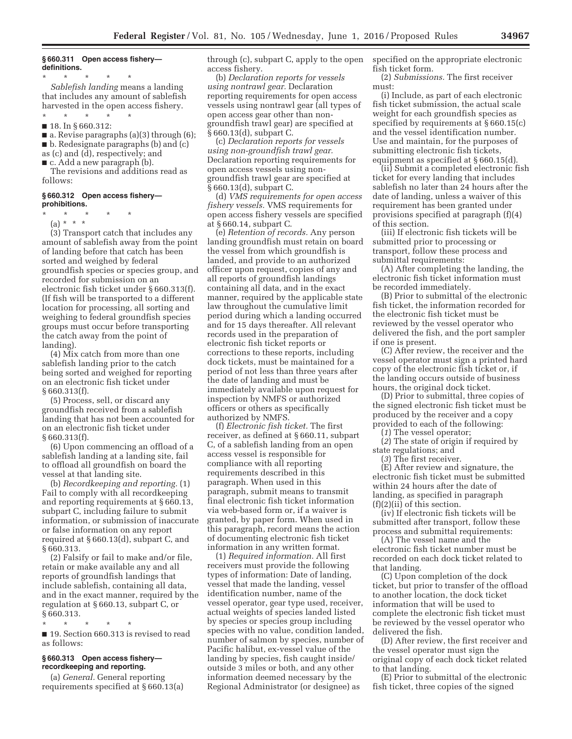### **§ 660.311 Open access fishery definitions.**

\* \* \* \* \* *Sablefish landing* means a landing that includes any amount of sablefish harvested in the open access fishery.

\* \* \* \* \* ■ 18. In § 660.312:

 $\blacksquare$  a. Revise paragraphs (a)(3) through (6); ■ b. Redesignate paragraphs (b) and (c) as (c) and (d), respectively; and

■ c. Add a new paragraph (b).

The revisions and additions read as follows:

#### **§ 660.312 Open access fishery prohibitions.**

- \* \* \* \* \*
- (a) \* \* \*

(3) Transport catch that includes any amount of sablefish away from the point of landing before that catch has been sorted and weighed by federal groundfish species or species group, and recorded for submission on an electronic fish ticket under § 660.313(f). (If fish will be transported to a different location for processing, all sorting and weighing to federal groundfish species groups must occur before transporting the catch away from the point of landing).

(4) Mix catch from more than one sablefish landing prior to the catch being sorted and weighed for reporting on an electronic fish ticket under § 660.313(f).

(5) Process, sell, or discard any groundfish received from a sablefish landing that has not been accounted for on an electronic fish ticket under § 660.313(f).

(6) Upon commencing an offload of a sablefish landing at a landing site, fail to offload all groundfish on board the vessel at that landing site.

(b) *Recordkeeping and reporting.* (1) Fail to comply with all recordkeeping and reporting requirements at § 660.13, subpart C, including failure to submit information, or submission of inaccurate or false information on any report required at § 660.13(d), subpart C, and § 660.313.

(2) Falsify or fail to make and/or file, retain or make available any and all reports of groundfish landings that include sablefish, containing all data, and in the exact manner, required by the regulation at § 660.13, subpart C, or § 660.313.

\* \* \* \* \*

■ 19. Section 660.313 is revised to read as follows:

#### **§ 660.313 Open access fishery recordkeeping and reporting.**

(a) *General.* General reporting requirements specified at § 660.13(a) through (c), subpart C, apply to the open access fishery.

(b) *Declaration reports for vessels using nontrawl gear.* Declaration reporting requirements for open access vessels using nontrawl gear (all types of open access gear other than nongroundfish trawl gear) are specified at § 660.13(d), subpart C.

(c) *Declaration reports for vessels using non-groundfish trawl gear.*  Declaration reporting requirements for open access vessels using nongroundfish trawl gear are specified at § 660.13(d), subpart C.

(d) *VMS requirements for open access fishery vessels.* VMS requirements for open access fishery vessels are specified at § 660.14, subpart C.

(e) *Retention of records.* Any person landing groundfish must retain on board the vessel from which groundfish is landed, and provide to an authorized officer upon request, copies of any and all reports of groundfish landings containing all data, and in the exact manner, required by the applicable state law throughout the cumulative limit period during which a landing occurred and for 15 days thereafter. All relevant records used in the preparation of electronic fish ticket reports or corrections to these reports, including dock tickets, must be maintained for a period of not less than three years after the date of landing and must be immediately available upon request for inspection by NMFS or authorized officers or others as specifically authorized by NMFS.

(f) *Electronic fish ticket.* The first receiver, as defined at § 660.11, subpart C, of a sablefish landing from an open access vessel is responsible for compliance with all reporting requirements described in this paragraph. When used in this paragraph, submit means to transmit final electronic fish ticket information via web-based form or, if a waiver is granted, by paper form. When used in this paragraph, record means the action of documenting electronic fish ticket information in any written format.

(1) *Required information.* All first receivers must provide the following types of information: Date of landing, vessel that made the landing, vessel identification number, name of the vessel operator, gear type used, receiver, actual weights of species landed listed by species or species group including species with no value, condition landed, number of salmon by species, number of Pacific halibut, ex-vessel value of the landing by species, fish caught inside/ outside 3 miles or both, and any other information deemed necessary by the Regional Administrator (or designee) as

specified on the appropriate electronic fish ticket form.

(2) *Submissions.* The first receiver must:

(i) Include, as part of each electronic fish ticket submission, the actual scale weight for each groundfish species as specified by requirements at § 660.15(c) and the vessel identification number. Use and maintain, for the purposes of submitting electronic fish tickets, equipment as specified at § 660.15(d).

(ii) Submit a completed electronic fish ticket for every landing that includes sablefish no later than 24 hours after the date of landing, unless a waiver of this requirement has been granted under provisions specified at paragraph (f)(4) of this section.

(iii) If electronic fish tickets will be submitted prior to processing or transport, follow these process and submittal requirements:

(A) After completing the landing, the electronic fish ticket information must be recorded immediately.

(B) Prior to submittal of the electronic fish ticket, the information recorded for the electronic fish ticket must be reviewed by the vessel operator who delivered the fish, and the port sampler if one is present.

(C) After review, the receiver and the vessel operator must sign a printed hard copy of the electronic fish ticket or, if the landing occurs outside of business hours, the original dock ticket.

(D) Prior to submittal, three copies of the signed electronic fish ticket must be produced by the receiver and a copy provided to each of the following:

(*1*) The vessel operator;

(*2*) The state of origin if required by state regulations; and

(*3*) The first receiver.

(E) After review and signature, the electronic fish ticket must be submitted within 24 hours after the date of landing, as specified in paragraph  $(f)(2)(ii)$  of this section.

(iv) If electronic fish tickets will be submitted after transport, follow these process and submittal requirements:

(A) The vessel name and the electronic fish ticket number must be recorded on each dock ticket related to that landing.

(C) Upon completion of the dock ticket, but prior to transfer of the offload to another location, the dock ticket information that will be used to complete the electronic fish ticket must be reviewed by the vessel operator who delivered the fish.

(D) After review, the first receiver and the vessel operator must sign the original copy of each dock ticket related to that landing.

(E) Prior to submittal of the electronic fish ticket, three copies of the signed